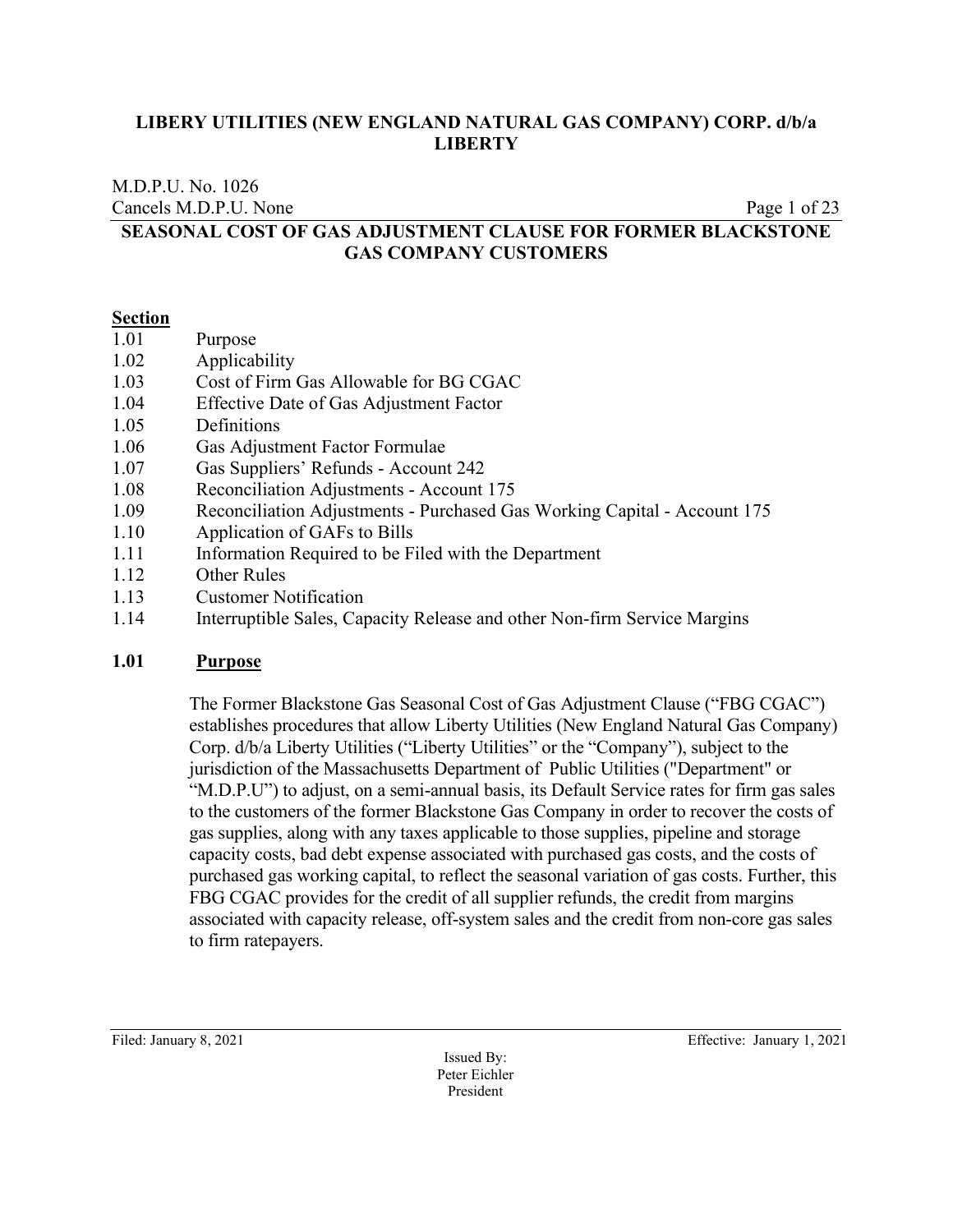M.D.P.U. No. 1026

Cancels M.D.P.U. None Page 1 of 23

# **SEASONAL COST OF GAS ADJUSTMENT CLAUSE FOR FORMER BLACKSTONE GAS COMPANY CUSTOMERS**

#### **Section**

- 1.01 Purpose
- 1.02 Applicability
- 1.03 Cost of Firm Gas Allowable for BG CGAC
- 1.04 Effective Date of Gas Adjustment Factor
- 1.05 Definitions
- 1.06 Gas Adjustment Factor Formulae
- 1.07 Gas Suppliers' Refunds Account 242
- 1.08 Reconciliation Adjustments Account 175
- 1.09 Reconciliation Adjustments Purchased Gas Working Capital Account 175
- 1.10 Application of GAFs to Bills
- 1.11 Information Required to be Filed with the Department
- 1.12 Other Rules
- 1.13 Customer Notification
- 1.14 Interruptible Sales, Capacity Release and other Non-firm Service Margins

# **1.01 Purpose**

The Former Blackstone Gas Seasonal Cost of Gas Adjustment Clause ("FBG CGAC") establishes procedures that allow Liberty Utilities (New England Natural Gas Company) Corp. d/b/a Liberty Utilities ("Liberty Utilities" or the "Company"), subject to the jurisdiction of the Massachusetts Department of Public Utilities ("Department" or "M.D.P.U") to adjust, on a semi-annual basis, its Default Service rates for firm gas sales to the customers of the former Blackstone Gas Company in order to recover the costs of gas supplies, along with any taxes applicable to those supplies, pipeline and storage capacity costs, bad debt expense associated with purchased gas costs, and the costs of purchased gas working capital, to reflect the seasonal variation of gas costs. Further, this FBG CGAC provides for the credit of all supplier refunds, the credit from margins associated with capacity release, off-system sales and the credit from non-core gas sales to firm ratepayers.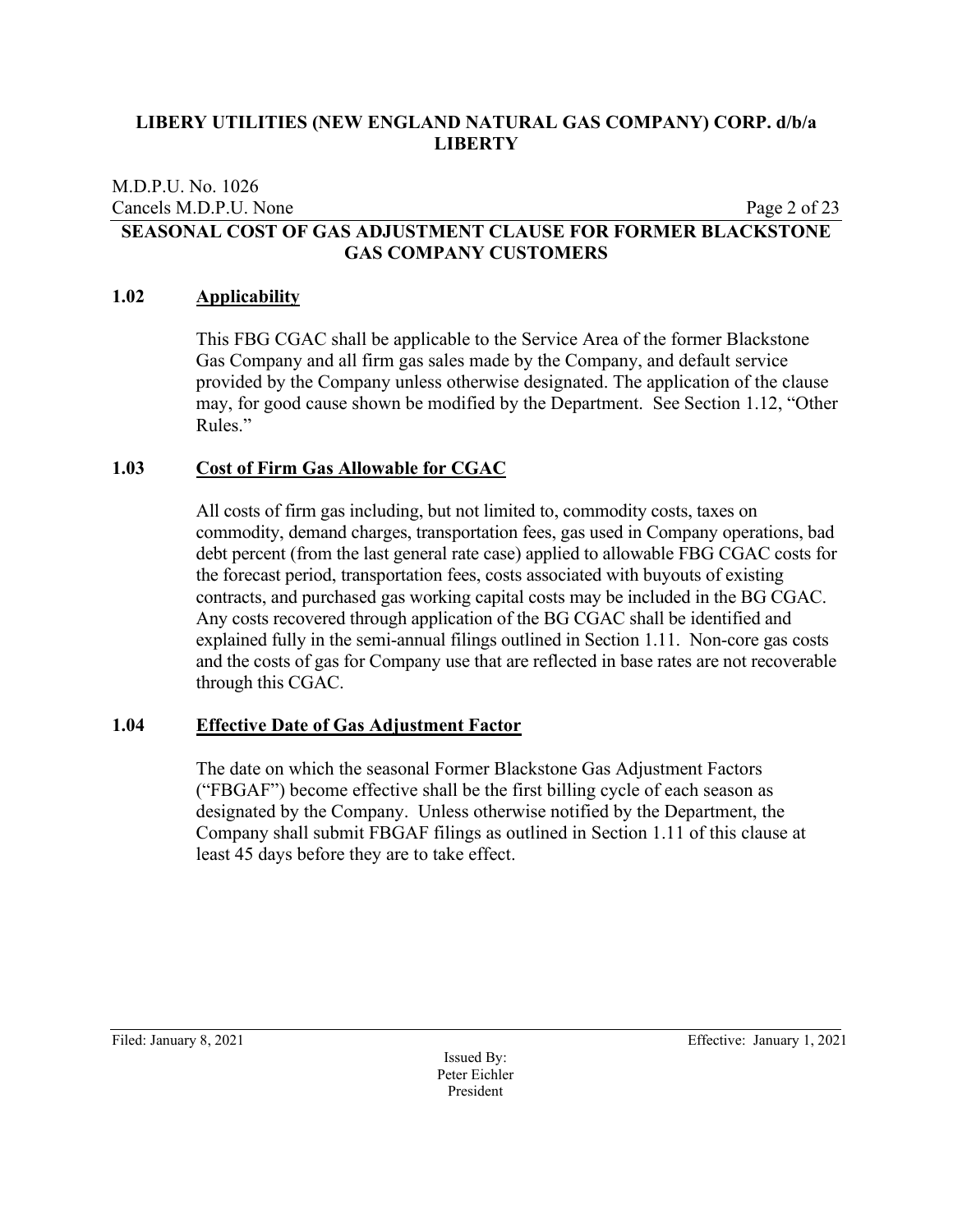#### M.D.P.U. No. 1026 Cancels M.D.P.U. None Page 2 of 23 **SEASONAL COST OF GAS ADJUSTMENT CLAUSE FOR FORMER BLACKSTONE GAS COMPANY CUSTOMERS**

#### **1.02 Applicability**

This FBG CGAC shall be applicable to the Service Area of the former Blackstone Gas Company and all firm gas sales made by the Company, and default service provided by the Company unless otherwise designated. The application of the clause may, for good cause shown be modified by the Department. See Section 1.12, "Other Rules."

#### **1.03 Cost of Firm Gas Allowable for CGAC**

All costs of firm gas including, but not limited to, commodity costs, taxes on commodity, demand charges, transportation fees, gas used in Company operations, bad debt percent (from the last general rate case) applied to allowable FBG CGAC costs for the forecast period, transportation fees, costs associated with buyouts of existing contracts, and purchased gas working capital costs may be included in the BG CGAC. Any costs recovered through application of the BG CGAC shall be identified and explained fully in the semi-annual filings outlined in Section 1.11. Non-core gas costs and the costs of gas for Company use that are reflected in base rates are not recoverable through this CGAC.

#### **1.04 Effective Date of Gas Adjustment Factor**

The date on which the seasonal Former Blackstone Gas Adjustment Factors ("FBGAF") become effective shall be the first billing cycle of each season as designated by the Company. Unless otherwise notified by the Department, the Company shall submit FBGAF filings as outlined in Section 1.11 of this clause at least 45 days before they are to take effect.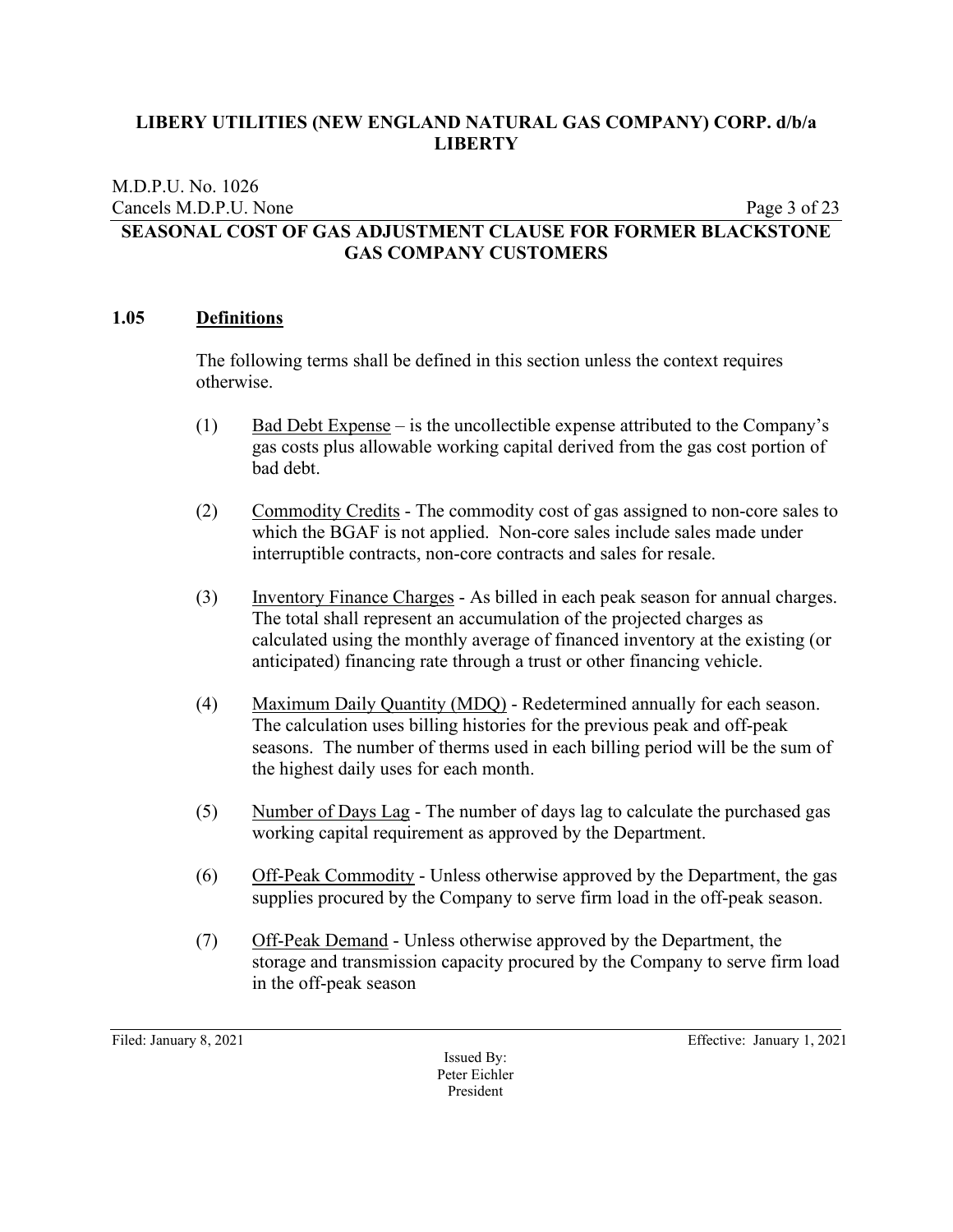#### M.D.P.U. No. 1026 Cancels M.D.P.U. None Page 3 of 23 **SEASONAL COST OF GAS ADJUSTMENT CLAUSE FOR FORMER BLACKSTONE GAS COMPANY CUSTOMERS**

#### **1.05 Definitions**

The following terms shall be defined in this section unless the context requires otherwise.

- (1) Bad Debt Expense is the uncollectible expense attributed to the Company's gas costs plus allowable working capital derived from the gas cost portion of bad debt.
- (2) Commodity Credits The commodity cost of gas assigned to non-core sales to which the BGAF is not applied. Non-core sales include sales made under interruptible contracts, non-core contracts and sales for resale.
- (3) Inventory Finance Charges As billed in each peak season for annual charges. The total shall represent an accumulation of the projected charges as calculated using the monthly average of financed inventory at the existing (or anticipated) financing rate through a trust or other financing vehicle.
- (4) Maximum Daily Quantity (MDQ) Redetermined annually for each season. The calculation uses billing histories for the previous peak and off-peak seasons. The number of therms used in each billing period will be the sum of the highest daily uses for each month.
- (5) Number of Days Lag The number of days lag to calculate the purchased gas working capital requirement as approved by the Department.
- (6) Off-Peak Commodity Unless otherwise approved by the Department, the gas supplies procured by the Company to serve firm load in the off-peak season.
- (7) Off-Peak Demand Unless otherwise approved by the Department, the storage and transmission capacity procured by the Company to serve firm load in the off-peak season

Issued By: Peter Eichler President

Filed: January 8, 2021 Effective: January 1, 2021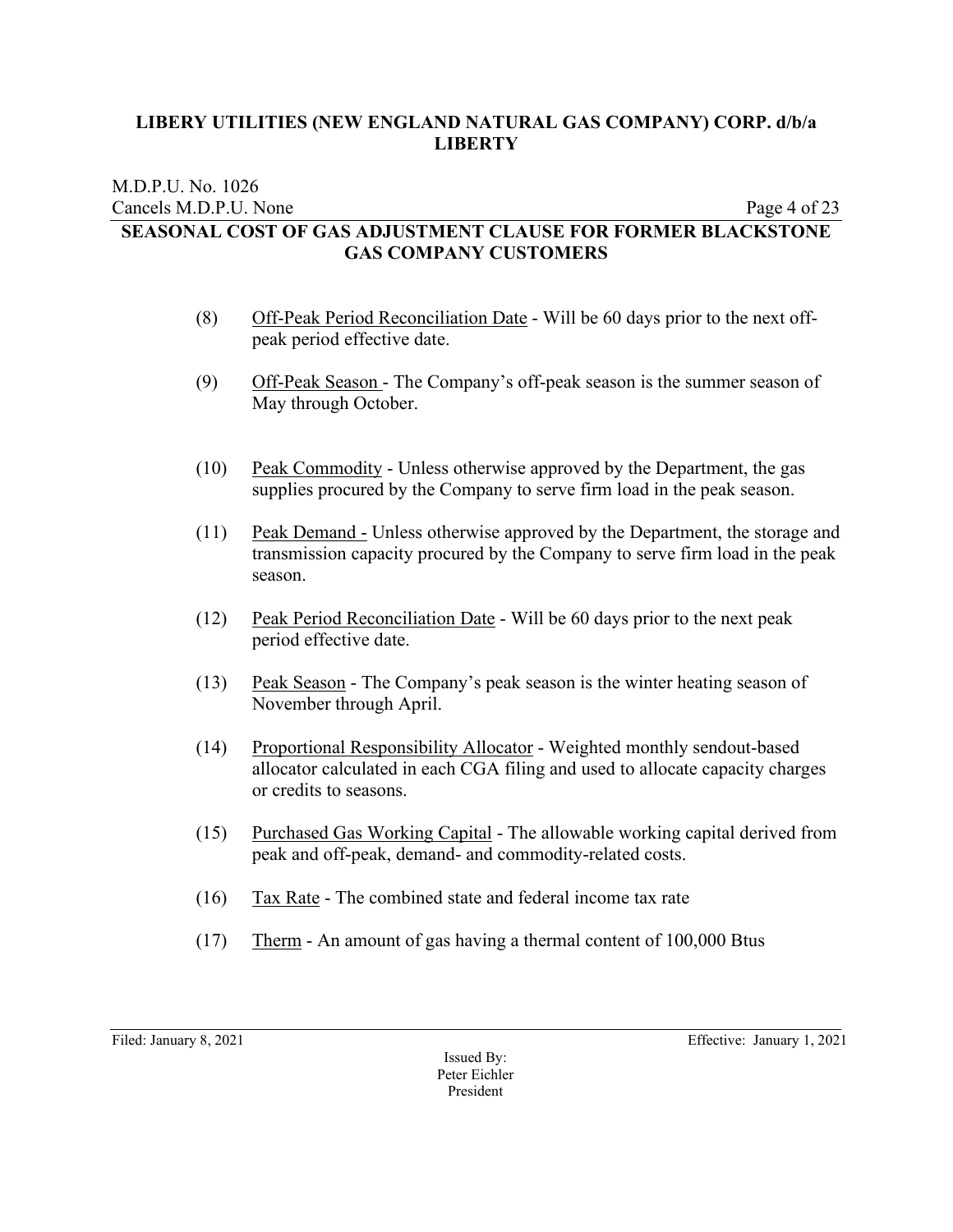#### M.D.P.U. No. 1026 Cancels M.D.P.U. None Page 4 of 23 **SEASONAL COST OF GAS ADJUSTMENT CLAUSE FOR FORMER BLACKSTONE GAS COMPANY CUSTOMERS**

- (8) Off-Peak Period Reconciliation Date Will be 60 days prior to the next offpeak period effective date.
- (9) Off-Peak Season The Company's off-peak season is the summer season of May through October.
- (10) Peak Commodity Unless otherwise approved by the Department, the gas supplies procured by the Company to serve firm load in the peak season.
- (11) Peak Demand Unless otherwise approved by the Department, the storage and transmission capacity procured by the Company to serve firm load in the peak season.
- (12) Peak Period Reconciliation Date Will be 60 days prior to the next peak period effective date.
- (13) Peak Season The Company's peak season is the winter heating season of November through April.
- (14) Proportional Responsibility Allocator Weighted monthly sendout-based allocator calculated in each CGA filing and used to allocate capacity charges or credits to seasons.
- (15) Purchased Gas Working Capital The allowable working capital derived from peak and off-peak, demand- and commodity-related costs.
- (16) Tax Rate The combined state and federal income tax rate
- (17) Therm An amount of gas having a thermal content of 100,000 Btus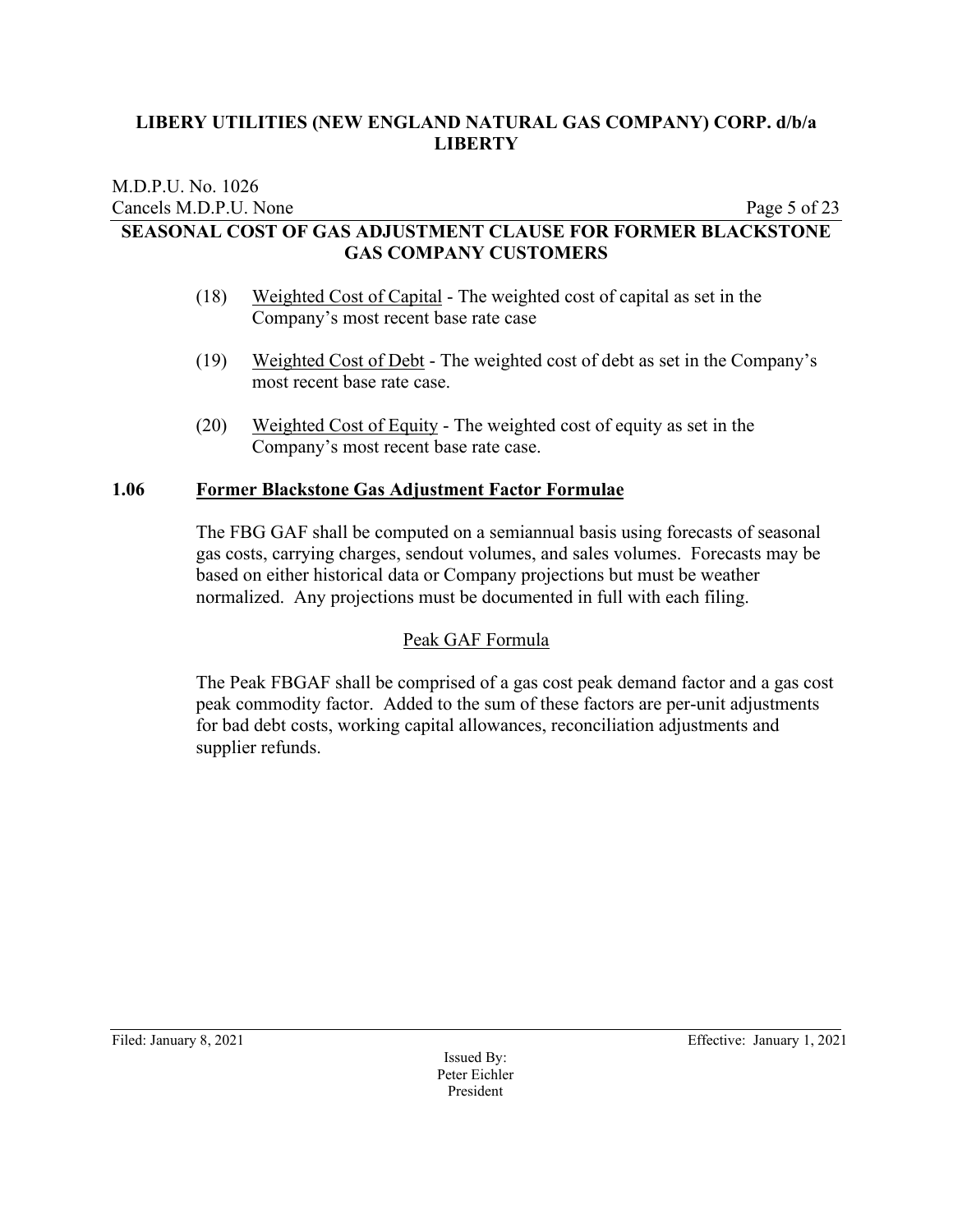### M.D.P.U. No. 1026 Cancels M.D.P.U. None Page 5 of 23 **SEASONAL COST OF GAS ADJUSTMENT CLAUSE FOR FORMER BLACKSTONE GAS COMPANY CUSTOMERS**

- (18) Weighted Cost of Capital The weighted cost of capital as set in the Company's most recent base rate case
- (19) Weighted Cost of Debt The weighted cost of debt as set in the Company's most recent base rate case.
- (20) Weighted Cost of Equity The weighted cost of equity as set in the Company's most recent base rate case.

#### **1.06 Former Blackstone Gas Adjustment Factor Formulae**

The FBG GAF shall be computed on a semiannual basis using forecasts of seasonal gas costs, carrying charges, sendout volumes, and sales volumes. Forecasts may be based on either historical data or Company projections but must be weather normalized. Any projections must be documented in full with each filing.

# Peak GAF Formula

The Peak FBGAF shall be comprised of a gas cost peak demand factor and a gas cost peak commodity factor. Added to the sum of these factors are per-unit adjustments for bad debt costs, working capital allowances, reconciliation adjustments and supplier refunds.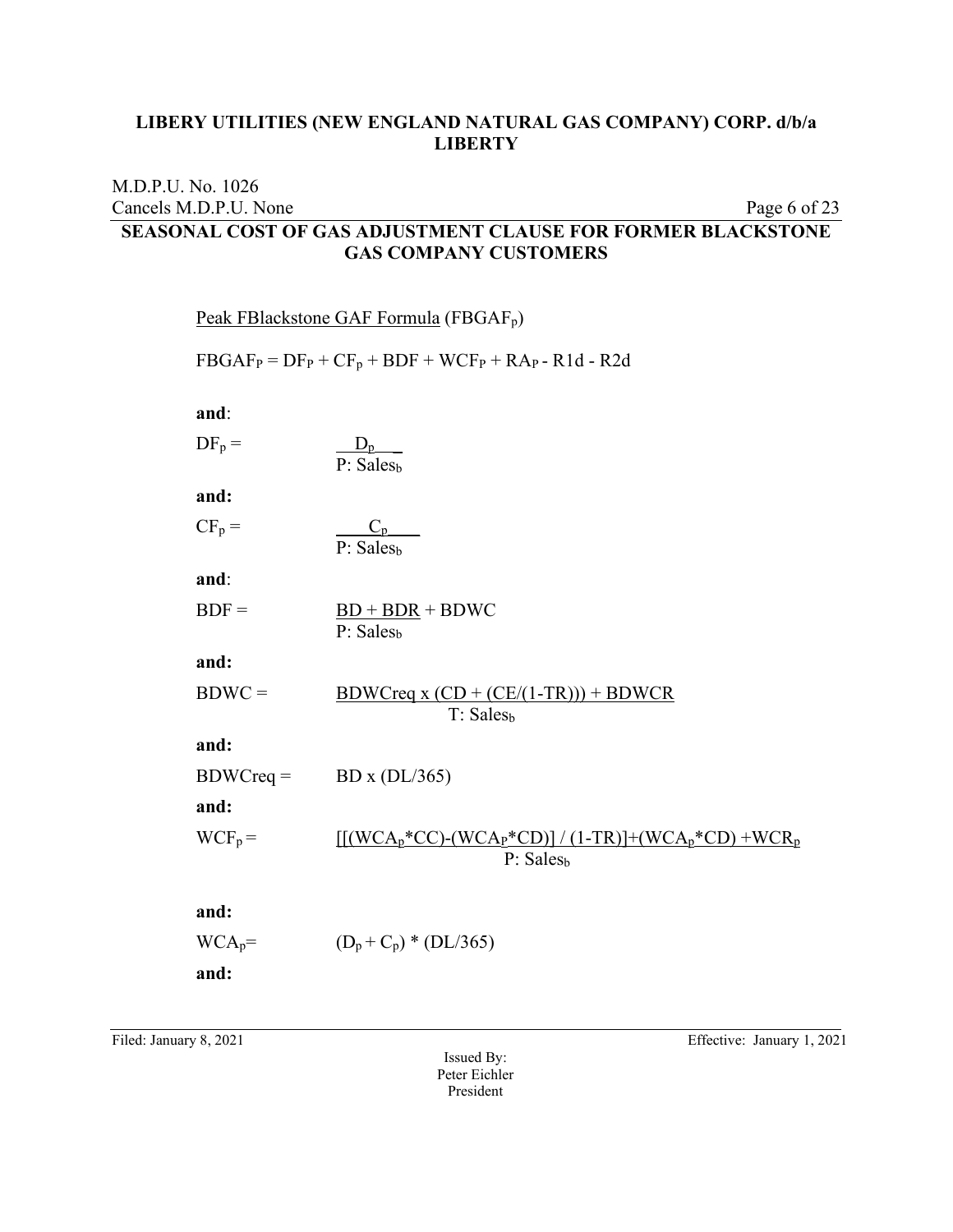Cancels M.D.P.U. None Page 6 of 23

| SEASONAL COST OF GAS ADJUSTMENT CLAUSE FOR FORMER BLACKSTONE<br><b>GAS COMPANY CUSTOMERS</b> |             |                                                                                                                                                   |  |  |
|----------------------------------------------------------------------------------------------|-------------|---------------------------------------------------------------------------------------------------------------------------------------------------|--|--|
|                                                                                              |             | Peak FBlackstone GAF Formula (FBGAF <sub>p</sub> )                                                                                                |  |  |
|                                                                                              |             | $FBGAF_P = DF_P + CF_p + BDF + WCF_P + RAp - R1d - R2d$                                                                                           |  |  |
|                                                                                              | and:        |                                                                                                                                                   |  |  |
|                                                                                              | $DF_p =$    | $rac{D_p}{P: Sales_b}$                                                                                                                            |  |  |
|                                                                                              | and:        |                                                                                                                                                   |  |  |
|                                                                                              | $CF_p =$    | $C_p$<br>P: Sales <sub>h</sub>                                                                                                                    |  |  |
|                                                                                              | and:        |                                                                                                                                                   |  |  |
|                                                                                              | $BDF =$     | $BD + BDR + BDWC$<br>P: Salesb                                                                                                                    |  |  |
|                                                                                              | and:        |                                                                                                                                                   |  |  |
|                                                                                              | $BDWC =$    | $BDWCreq x (CD + (CE/(1-TR))) + BDWCR$<br>T: Sales <sub>b</sub>                                                                                   |  |  |
|                                                                                              | and:        |                                                                                                                                                   |  |  |
|                                                                                              | $BDWCreq =$ | BD x $(DL/365)$                                                                                                                                   |  |  |
|                                                                                              | and:        |                                                                                                                                                   |  |  |
|                                                                                              | $WCF_p =$   | $\[ \left[ \left( WCA_{p}^{*}CC\right) \left( WCA_{P}^{*}CD\right) \right] / (1-TR) \right] + (WCA_{p}^{*}CD) + WCR_{p}$<br>P: Sales <sub>b</sub> |  |  |
|                                                                                              | and:        |                                                                                                                                                   |  |  |
|                                                                                              | $WCA_p =$   | $(D_p + C_p) * (DL/365)$                                                                                                                          |  |  |

**and:** 

M.D.P.U. No. 1026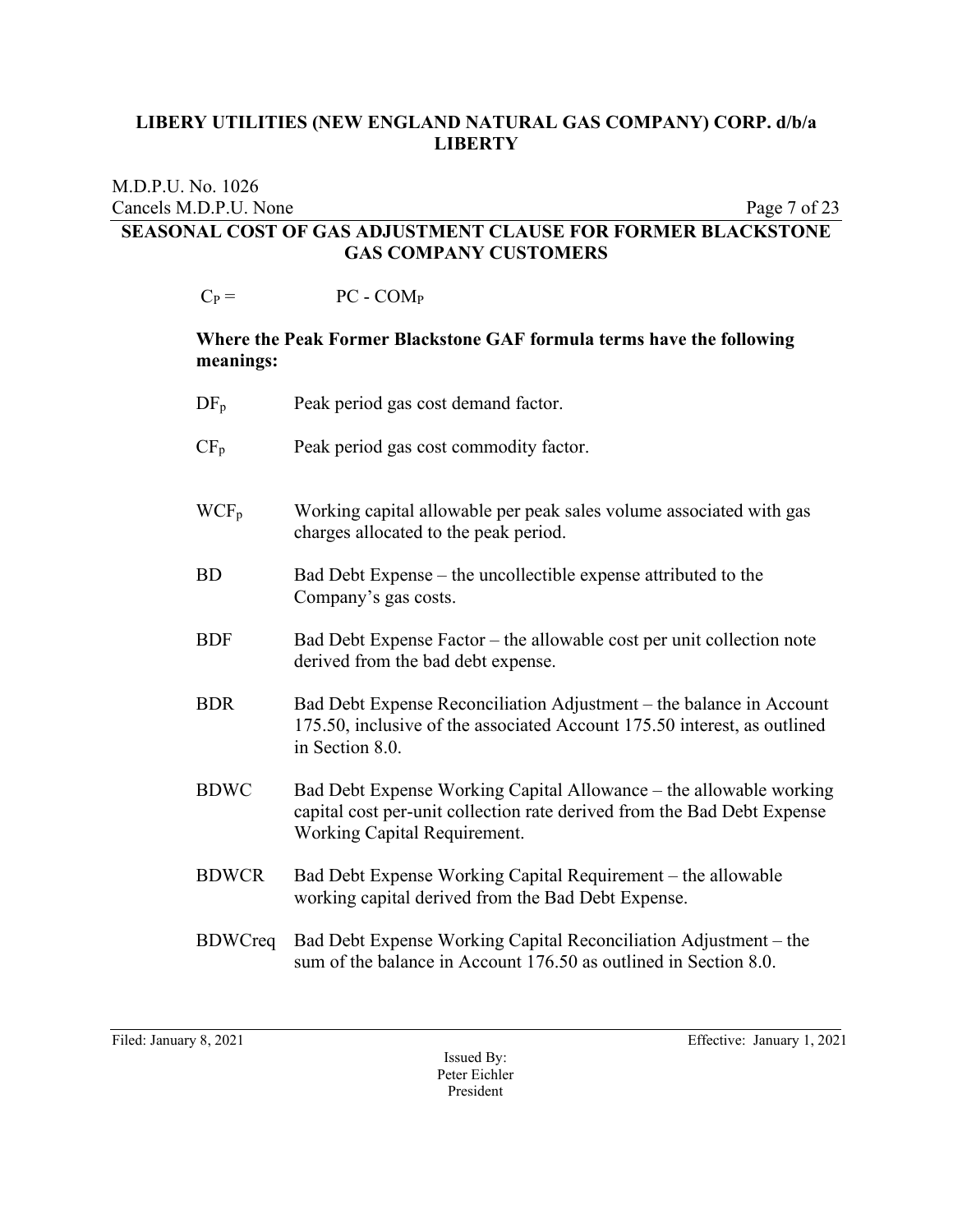#### M.D.P.U. No. 1026 Cancels M.D.P.U. None Page 7 of 23 **SEASONAL COST OF GAS ADJUSTMENT CLAUSE FOR FORMER BLACKSTONE GAS COMPANY CUSTOMERS**

 $C_P = PC - COM_P$ 

#### **Where the Peak Former Blackstone GAF formula terms have the following meanings:**

| $DF_p$         | Peak period gas cost demand factor.                                                                                                                                           |
|----------------|-------------------------------------------------------------------------------------------------------------------------------------------------------------------------------|
| $CF_p$         | Peak period gas cost commodity factor.                                                                                                                                        |
| $WCF_p$        | Working capital allowable per peak sales volume associated with gas<br>charges allocated to the peak period.                                                                  |
| ${\rm BD}$     | Bad Debt Expense – the uncollectible expense attributed to the<br>Company's gas costs.                                                                                        |
| <b>BDF</b>     | Bad Debt Expense Factor – the allowable cost per unit collection note<br>derived from the bad debt expense.                                                                   |
| <b>BDR</b>     | Bad Debt Expense Reconciliation Adjustment – the balance in Account<br>175.50, inclusive of the associated Account 175.50 interest, as outlined<br>in Section 8.0.            |
| <b>BDWC</b>    | Bad Debt Expense Working Capital Allowance – the allowable working<br>capital cost per-unit collection rate derived from the Bad Debt Expense<br>Working Capital Requirement. |
| <b>BDWCR</b>   | Bad Debt Expense Working Capital Requirement – the allowable<br>working capital derived from the Bad Debt Expense.                                                            |
| <b>BDWCreq</b> | Bad Debt Expense Working Capital Reconciliation Adjustment – the<br>sum of the balance in Account 176.50 as outlined in Section 8.0.                                          |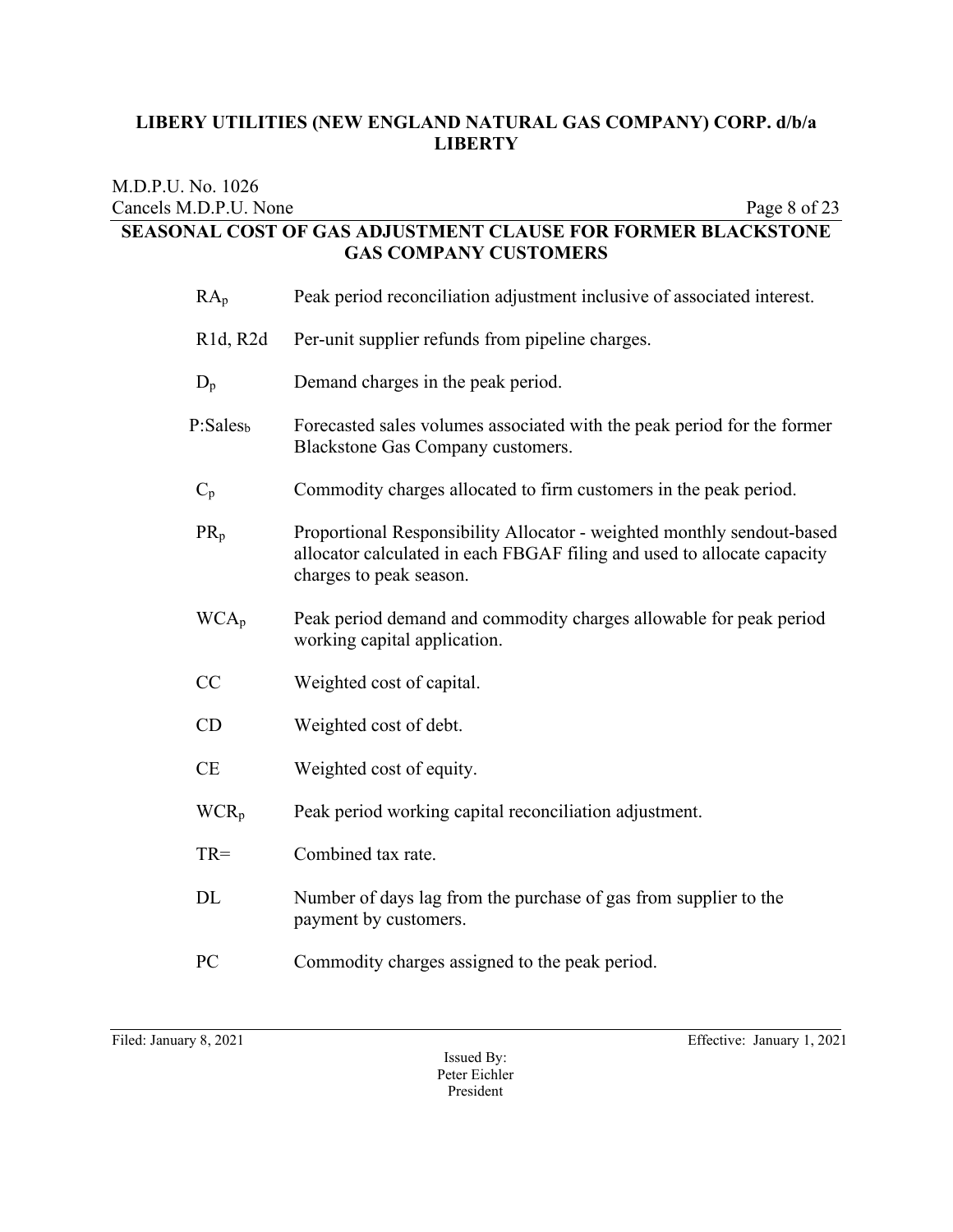| M.D.P.U. No. 1026                  |                                                                                                                                                                              |  |  |  |  |
|------------------------------------|------------------------------------------------------------------------------------------------------------------------------------------------------------------------------|--|--|--|--|
| Cancels M.D.P.U. None              | Page 8 of 23<br><b>SEASONAL COST OF GAS ADJUSTMENT CLAUSE FOR FORMER BLACKSTONE</b>                                                                                          |  |  |  |  |
| <b>GAS COMPANY CUSTOMERS</b>       |                                                                                                                                                                              |  |  |  |  |
| $RA_p$                             | Peak period reconciliation adjustment inclusive of associated interest.                                                                                                      |  |  |  |  |
| R <sub>1</sub> d, R <sub>2</sub> d | Per-unit supplier refunds from pipeline charges.                                                                                                                             |  |  |  |  |
| $D_p$                              | Demand charges in the peak period.                                                                                                                                           |  |  |  |  |
| P: Sales <sub>b</sub>              | Forecasted sales volumes associated with the peak period for the former<br>Blackstone Gas Company customers.                                                                 |  |  |  |  |
| $C_p$                              | Commodity charges allocated to firm customers in the peak period.                                                                                                            |  |  |  |  |
| $PR_p$                             | Proportional Responsibility Allocator - weighted monthly sendout-based<br>allocator calculated in each FBGAF filing and used to allocate capacity<br>charges to peak season. |  |  |  |  |
| $WCA_p$                            | Peak period demand and commodity charges allowable for peak period<br>working capital application.                                                                           |  |  |  |  |
| CC                                 | Weighted cost of capital.                                                                                                                                                    |  |  |  |  |
| CD                                 | Weighted cost of debt.                                                                                                                                                       |  |  |  |  |
| CE                                 | Weighted cost of equity.                                                                                                                                                     |  |  |  |  |
| WCR <sub>p</sub>                   | Peak period working capital reconciliation adjustment.                                                                                                                       |  |  |  |  |
| $TR =$                             | Combined tax rate.                                                                                                                                                           |  |  |  |  |
| DL                                 | Number of days lag from the purchase of gas from supplier to the<br>payment by customers.                                                                                    |  |  |  |  |
| PC                                 | Commodity charges assigned to the peak period.                                                                                                                               |  |  |  |  |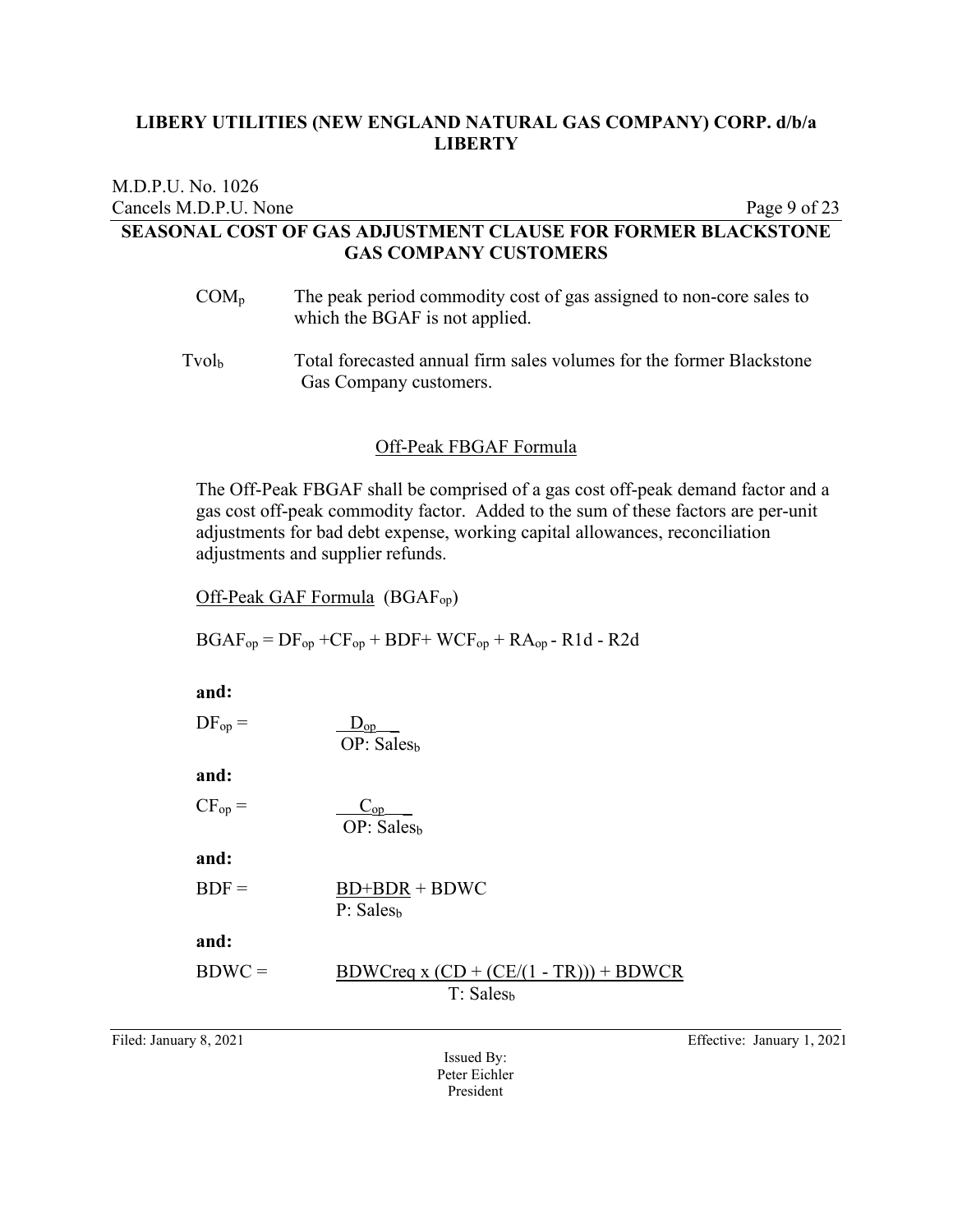| M.D.P.U. No. 1026                                                   |              |
|---------------------------------------------------------------------|--------------|
| Cancels M.D.P.U. None                                               | Page 9 of 23 |
| <b>SEASONAL COST OF GAS ADJUSTMENT CLAUSE FOR FORMER BLACKSTONE</b> |              |
| <b>GAS COMPANY CUSTOMERS</b>                                        |              |
|                                                                     |              |

- $COM_p$  The peak period commodity cost of gas assigned to non-core sales to which the BGAF is not applied.
- Tvolb Total forecasted annual firm sales volumes for the former Blackstone Gas Company customers.

#### Off-Peak FBGAF Formula

The Off-Peak FBGAF shall be comprised of a gas cost off-peak demand factor and a gas cost off-peak commodity factor. Added to the sum of these factors are per-unit adjustments for bad debt expense, working capital allowances, reconciliation adjustments and supplier refunds.

Off-Peak GAF Formula (BGAFop)

 $BGAF_{op} = DF_{op} + CF_{op} + BDF + WCF_{op} + RA_{op} - R1d - R2d$ 

**and:**   $DF_{\text{op}} = \underline{D}_{\text{op}}$  $\overline{OP: Sales_{b}}$ **and:**   $CF_{op} = \underline{C_{op}}$  $OP: Sales<sub>b</sub>$ **and:**   $BDF = BD+BDR + BDWC$ P: Sales<sub>b</sub> **and:**  BDWC = BDWCreq x  $(CD + (CE/(1 - TR))) + BDWCR$ T: Sales<sub>b</sub>

Issued By: Peter Eichler President

Filed: January 8, 2021 Effective: January 1, 2021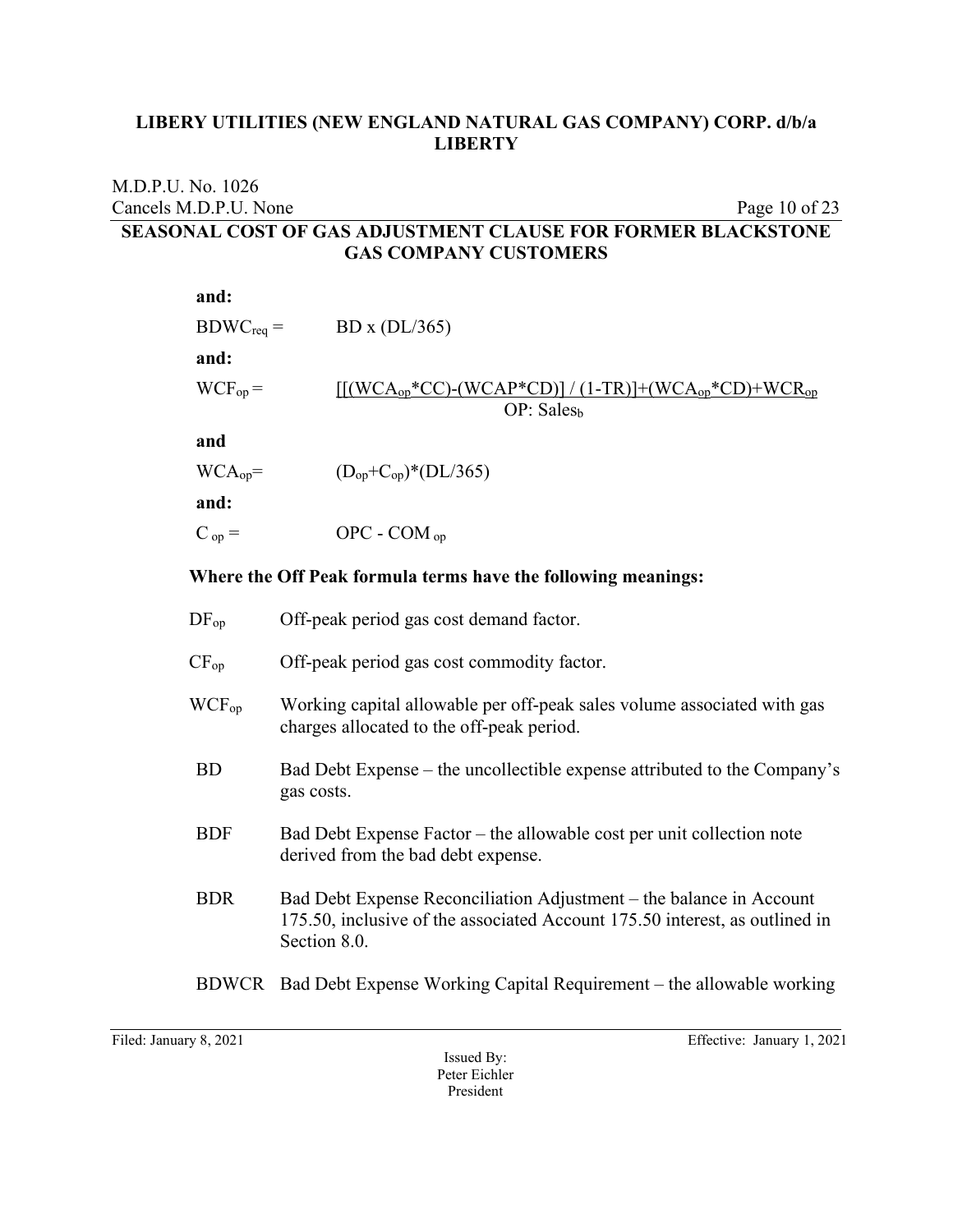#### M.D.P.U. No. 1026 Cancels M.D.P.U. None Page 10 of 23 **SEASONAL COST OF GAS ADJUSTMENT CLAUSE FOR FORMER BLACKSTONE GAS COMPANY CUSTOMERS**

| and:           |                                                                                                                                                                    |  |
|----------------|--------------------------------------------------------------------------------------------------------------------------------------------------------------------|--|
| $BDWC_{req} =$ | BD x $(DL/365)$                                                                                                                                                    |  |
| and:           |                                                                                                                                                                    |  |
| $WCF_{op} =$   | $[(WCA_{op}*CC)-(WCAP*CD)]/(1-TR)]+(WCA_{op}*CD)+WCR_{op}$<br>OP: Sales <sub>h</sub>                                                                               |  |
| and            |                                                                                                                                                                    |  |
| $WCA_{op}$ =   | $(D_{op} + C_{op})^* (DL/365)$                                                                                                                                     |  |
| and:           |                                                                                                                                                                    |  |
| $C_{op} =$     | $OPC - COM$ <sub>op</sub>                                                                                                                                          |  |
|                | Where the Off Peak formula terms have the following meanings:                                                                                                      |  |
| $DF_{op}$      | Off-peak period gas cost demand factor.                                                                                                                            |  |
| $CF_{op}$      | Off-peak period gas cost commodity factor.                                                                                                                         |  |
| $WCF_{op}$     | Working capital allowable per off-peak sales volume associated with gas<br>charges allocated to the off-peak period.                                               |  |
| <b>BD</b>      | Bad Debt Expense – the uncollectible expense attributed to the Company's<br>gas costs.                                                                             |  |
| <b>BDF</b>     | Bad Debt Expense Factor - the allowable cost per unit collection note<br>derived from the bad debt expense.                                                        |  |
| <b>BDR</b>     | Bad Debt Expense Reconciliation Adjustment – the balance in Account<br>175.50, inclusive of the associated Account 175.50 interest, as outlined in<br>Section 8.0. |  |

BDWCR Bad Debt Expense Working Capital Requirement – the allowable working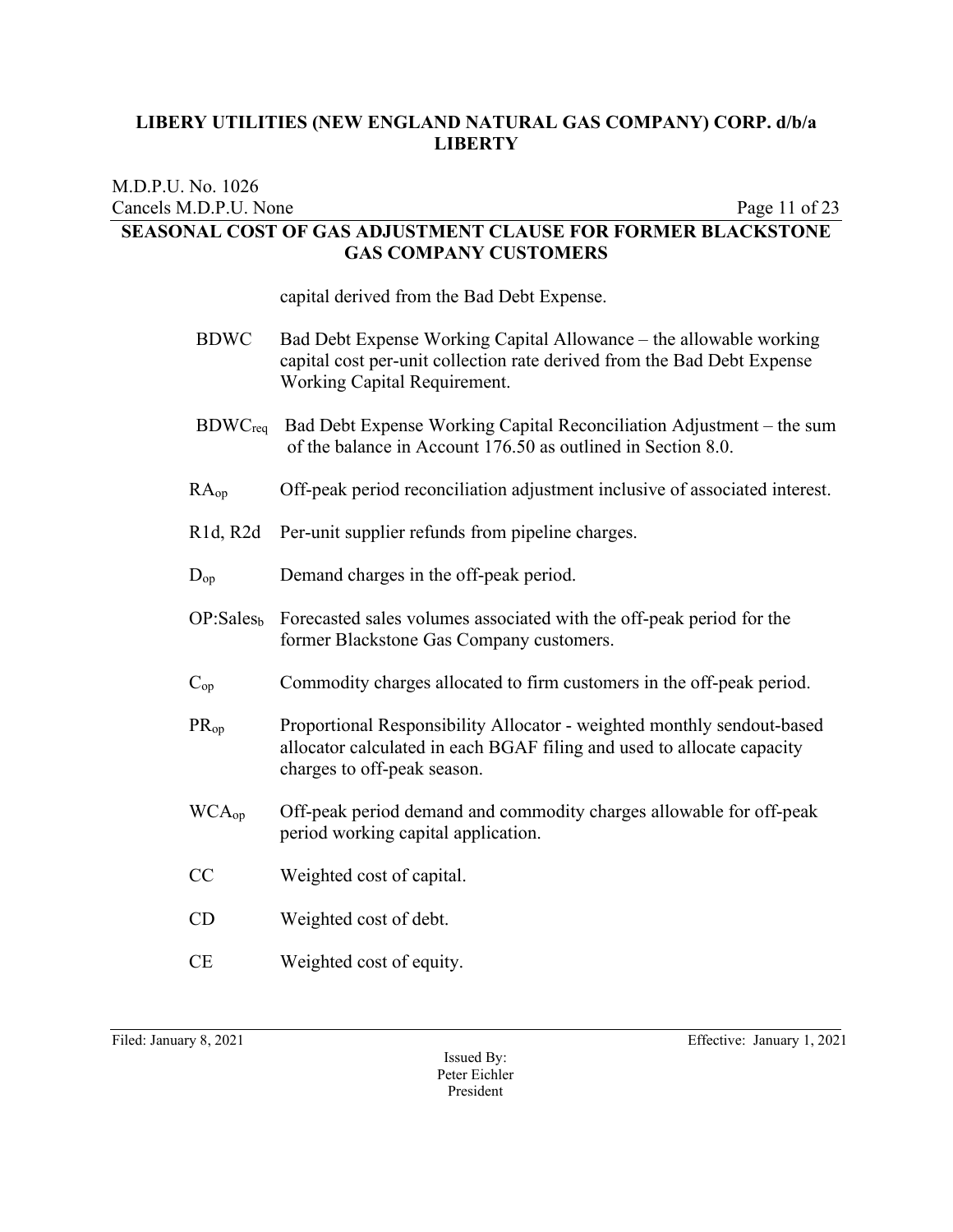### M.D.P.U. No. 1026 Cancels M.D.P.U. None Page 11 of 23 **SEASONAL COST OF GAS ADJUSTMENT CLAUSE FOR FORMER BLACKSTONE GAS COMPANY CUSTOMERS**

capital derived from the Bad Debt Expense.

- BDWC Bad Debt Expense Working Capital Allowance the allowable working capital cost per-unit collection rate derived from the Bad Debt Expense Working Capital Requirement.
- BDWCreq Bad Debt Expense Working Capital Reconciliation Adjustment the sum of the balance in Account 176.50 as outlined in Section 8.0.
- RAop Off-peak period reconciliation adjustment inclusive of associated interest.
- R1d, R2d Per-unit supplier refunds from pipeline charges.
- D<sub>op</sub> Demand charges in the off-peak period.
- OP:Sales<sub>b</sub> Forecasted sales volumes associated with the off-peak period for the former Blackstone Gas Company customers.
- Cop Commodity charges allocated to firm customers in the off-peak period.
- PRop Proportional Responsibility Allocator weighted monthly sendout-based allocator calculated in each BGAF filing and used to allocate capacity charges to off-peak season.
- WCA<sub>op</sub> Off-peak period demand and commodity charges allowable for off-peak period working capital application.
- CC Weighted cost of capital.
- CD Weighted cost of debt.
- CE Weighted cost of equity.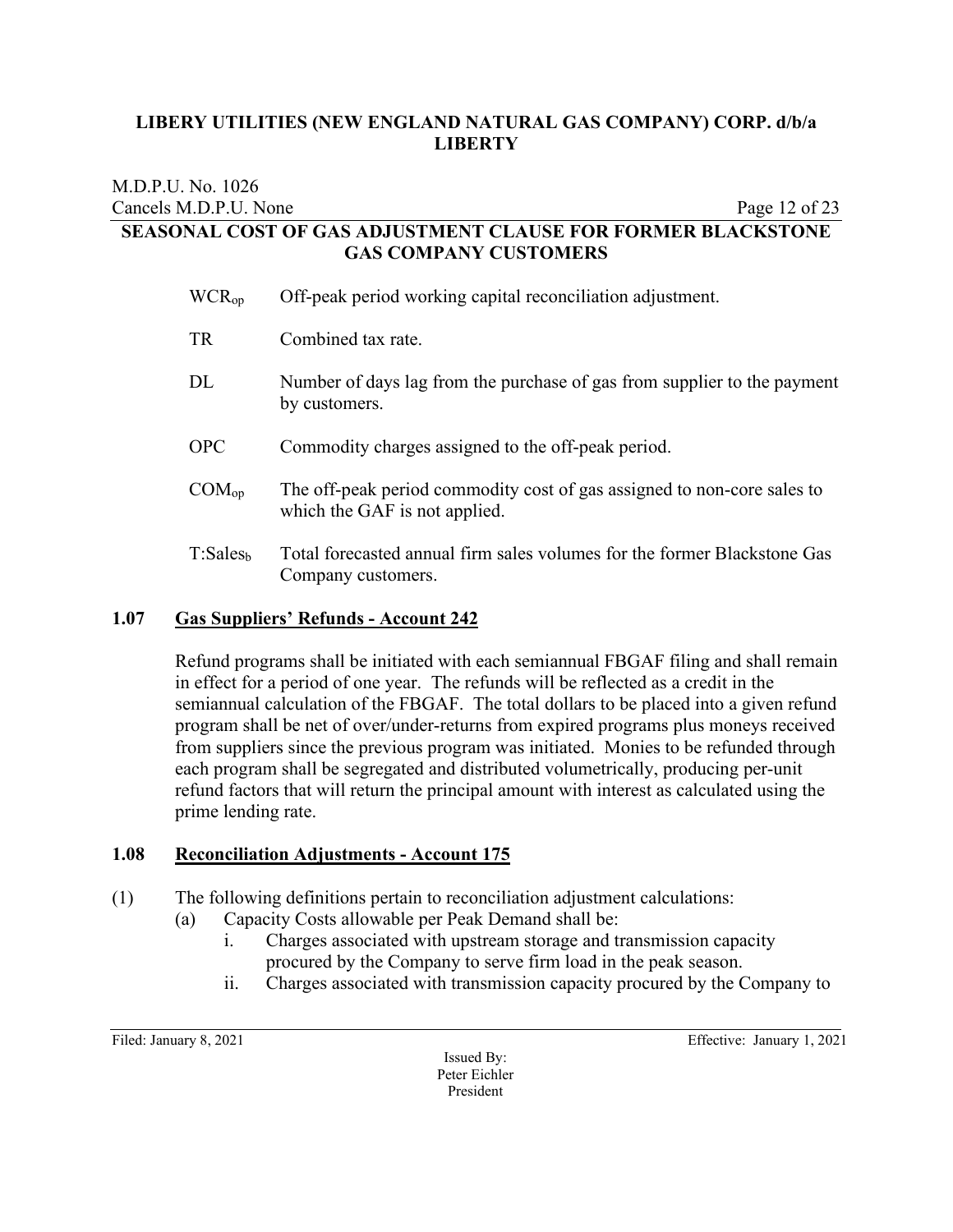# M.D.P.U. No. 1026 Cancels M.D.P.U. None Page 12 of 23 **SEASONAL COST OF GAS ADJUSTMENT CLAUSE FOR FORMER BLACKSTONE GAS COMPANY CUSTOMERS**

| WCR <sub>op</sub>    | Off-peak period working capital reconciliation adjustment.                                               |
|----------------------|----------------------------------------------------------------------------------------------------------|
| TR                   | Combined tax rate.                                                                                       |
| DL                   | Number of days lag from the purchase of gas from supplier to the payment<br>by customers.                |
| OPC                  | Commodity charges assigned to the off-peak period.                                                       |
| COM <sub>op</sub>    | The off-peak period commodity cost of gas assigned to non-core sales to<br>which the GAF is not applied. |
| T:Sales <sub>b</sub> | Total forecasted annual firm sales volumes for the former Blackstone Gas<br>Company customers.           |

# **1.07 Gas Suppliers' Refunds - Account 242**

Refund programs shall be initiated with each semiannual FBGAF filing and shall remain in effect for a period of one year. The refunds will be reflected as a credit in the semiannual calculation of the FBGAF. The total dollars to be placed into a given refund program shall be net of over/under-returns from expired programs plus moneys received from suppliers since the previous program was initiated. Monies to be refunded through each program shall be segregated and distributed volumetrically, producing per-unit refund factors that will return the principal amount with interest as calculated using the prime lending rate.

# **1.08 Reconciliation Adjustments - Account 175**

(1) The following definitions pertain to reconciliation adjustment calculations:

- (a) Capacity Costs allowable per Peak Demand shall be:
	- i. Charges associated with upstream storage and transmission capacity procured by the Company to serve firm load in the peak season.
	- ii. Charges associated with transmission capacity procured by the Company to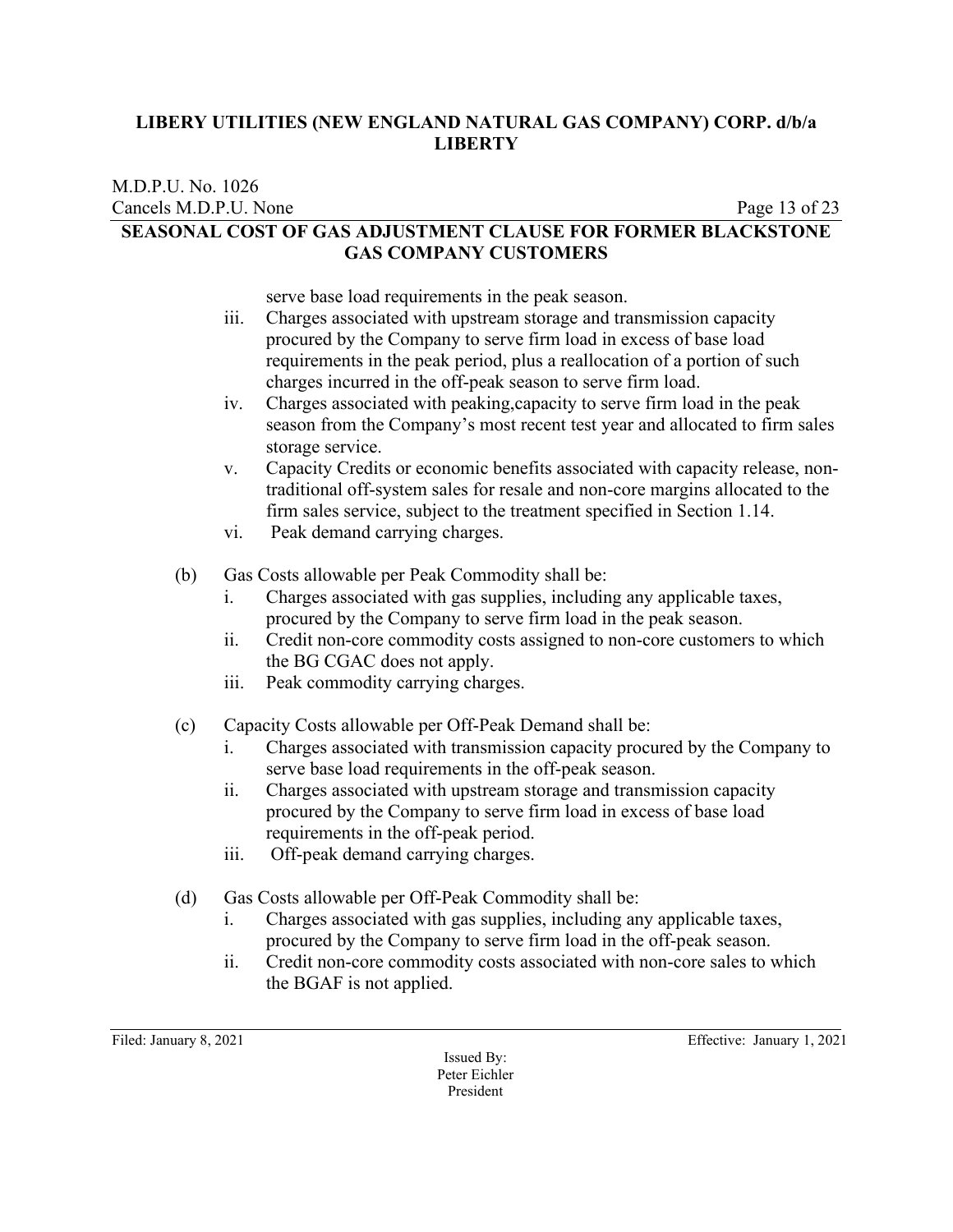#### M.D.P.U. No. 1026 Cancels M.D.P.U. None Page 13 of 23 **SEASONAL COST OF GAS ADJUSTMENT CLAUSE FOR FORMER BLACKSTONE GAS COMPANY CUSTOMERS**

serve base load requirements in the peak season.

- iii. Charges associated with upstream storage and transmission capacity procured by the Company to serve firm load in excess of base load requirements in the peak period, plus a reallocation of a portion of such charges incurred in the off-peak season to serve firm load.
- iv. Charges associated with peaking,capacity to serve firm load in the peak season from the Company's most recent test year and allocated to firm sales storage service.
- v. Capacity Credits or economic benefits associated with capacity release, nontraditional off-system sales for resale and non-core margins allocated to the firm sales service, subject to the treatment specified in Section 1.14.
- vi. Peak demand carrying charges.
- (b) Gas Costs allowable per Peak Commodity shall be:
	- i. Charges associated with gas supplies, including any applicable taxes, procured by the Company to serve firm load in the peak season.
	- ii. Credit non-core commodity costs assigned to non-core customers to which the BG CGAC does not apply.
	- iii. Peak commodity carrying charges.
- (c) Capacity Costs allowable per Off-Peak Demand shall be:
	- i. Charges associated with transmission capacity procured by the Company to serve base load requirements in the off-peak season.
	- ii. Charges associated with upstream storage and transmission capacity procured by the Company to serve firm load in excess of base load requirements in the off-peak period.
	- iii. Off-peak demand carrying charges.
- (d) Gas Costs allowable per Off-Peak Commodity shall be:
	- i. Charges associated with gas supplies, including any applicable taxes, procured by the Company to serve firm load in the off-peak season.
	- ii. Credit non-core commodity costs associated with non-core sales to which the BGAF is not applied.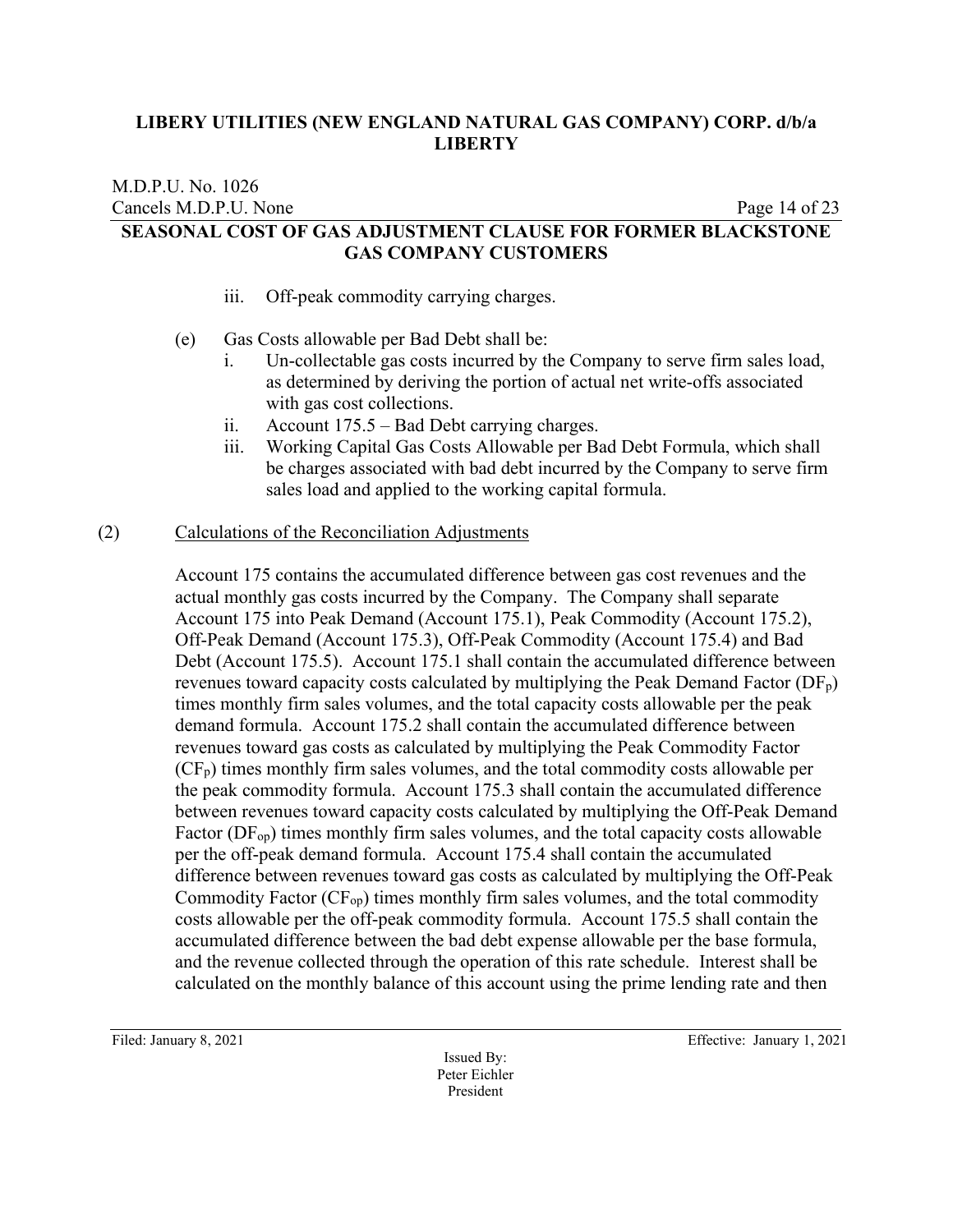#### M.D.P.U. No. 1026 Cancels M.D.P.U. None Page 14 of 23 **SEASONAL COST OF GAS ADJUSTMENT CLAUSE FOR FORMER BLACKSTONE GAS COMPANY CUSTOMERS**

- iii. Off-peak commodity carrying charges.
- (e) Gas Costs allowable per Bad Debt shall be:
	- i. Un-collectable gas costs incurred by the Company to serve firm sales load, as determined by deriving the portion of actual net write-offs associated with gas cost collections.
	- ii. Account 175.5 Bad Debt carrying charges.
	- iii. Working Capital Gas Costs Allowable per Bad Debt Formula, which shall be charges associated with bad debt incurred by the Company to serve firm sales load and applied to the working capital formula.

#### (2) Calculations of the Reconciliation Adjustments

Account 175 contains the accumulated difference between gas cost revenues and the actual monthly gas costs incurred by the Company. The Company shall separate Account 175 into Peak Demand (Account 175.1), Peak Commodity (Account 175.2), Off-Peak Demand (Account 175.3), Off-Peak Commodity (Account 175.4) and Bad Debt (Account 175.5). Account 175.1 shall contain the accumulated difference between revenues toward capacity costs calculated by multiplying the Peak Demand Factor  $(DF_p)$ times monthly firm sales volumes, and the total capacity costs allowable per the peak demand formula. Account 175.2 shall contain the accumulated difference between revenues toward gas costs as calculated by multiplying the Peak Commodity Factor  $(CF_p)$  times monthly firm sales volumes, and the total commodity costs allowable per the peak commodity formula. Account 175.3 shall contain the accumulated difference between revenues toward capacity costs calculated by multiplying the Off-Peak Demand Factor  $(DF_{op})$  times monthly firm sales volumes, and the total capacity costs allowable per the off-peak demand formula. Account 175.4 shall contain the accumulated difference between revenues toward gas costs as calculated by multiplying the Off-Peak Commodity Factor  $(CF_{op})$  times monthly firm sales volumes, and the total commodity costs allowable per the off-peak commodity formula. Account 175.5 shall contain the accumulated difference between the bad debt expense allowable per the base formula, and the revenue collected through the operation of this rate schedule. Interest shall be calculated on the monthly balance of this account using the prime lending rate and then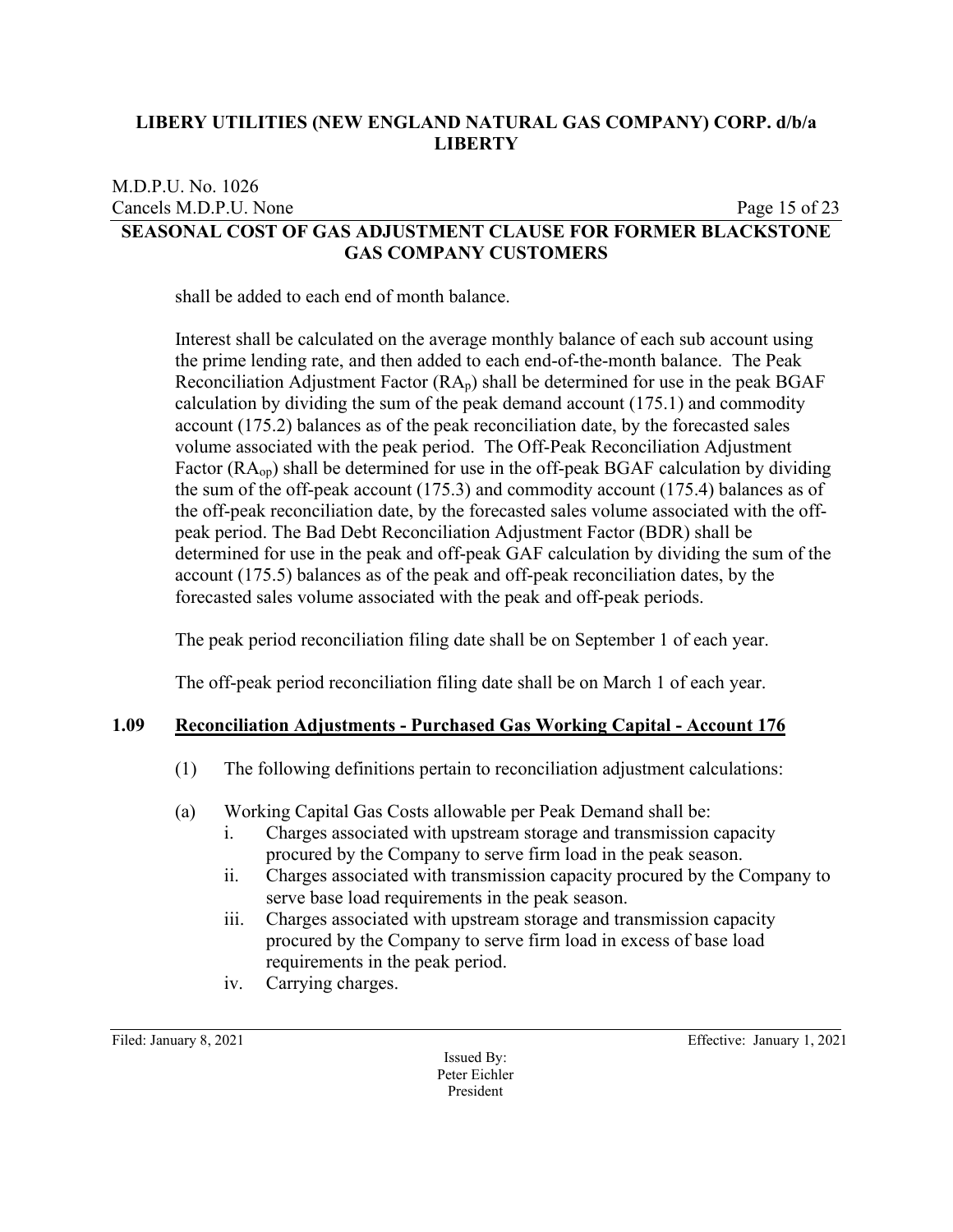# M.D.P.U. No. 1026 Cancels M.D.P.U. None Page 15 of 23 **SEASONAL COST OF GAS ADJUSTMENT CLAUSE FOR FORMER BLACKSTONE GAS COMPANY CUSTOMERS**

shall be added to each end of month balance.

Interest shall be calculated on the average monthly balance of each sub account using the prime lending rate, and then added to each end-of-the-month balance. The Peak Reconciliation Adjustment Factor  $(RA_p)$  shall be determined for use in the peak BGAF calculation by dividing the sum of the peak demand account (175.1) and commodity account (175.2) balances as of the peak reconciliation date, by the forecasted sales volume associated with the peak period. The Off-Peak Reconciliation Adjustment Factor (RAop) shall be determined for use in the off-peak BGAF calculation by dividing the sum of the off-peak account (175.3) and commodity account (175.4) balances as of the off-peak reconciliation date, by the forecasted sales volume associated with the offpeak period. The Bad Debt Reconciliation Adjustment Factor (BDR) shall be determined for use in the peak and off-peak GAF calculation by dividing the sum of the account (175.5) balances as of the peak and off-peak reconciliation dates, by the forecasted sales volume associated with the peak and off-peak periods.

The peak period reconciliation filing date shall be on September 1 of each year.

The off-peak period reconciliation filing date shall be on March 1 of each year.

# **1.09 Reconciliation Adjustments - Purchased Gas Working Capital - Account 176**

- (1) The following definitions pertain to reconciliation adjustment calculations:
- (a) Working Capital Gas Costs allowable per Peak Demand shall be:
	- i. Charges associated with upstream storage and transmission capacity procured by the Company to serve firm load in the peak season.
	- ii. Charges associated with transmission capacity procured by the Company to serve base load requirements in the peak season.
	- iii. Charges associated with upstream storage and transmission capacity procured by the Company to serve firm load in excess of base load requirements in the peak period.
	- iv. Carrying charges.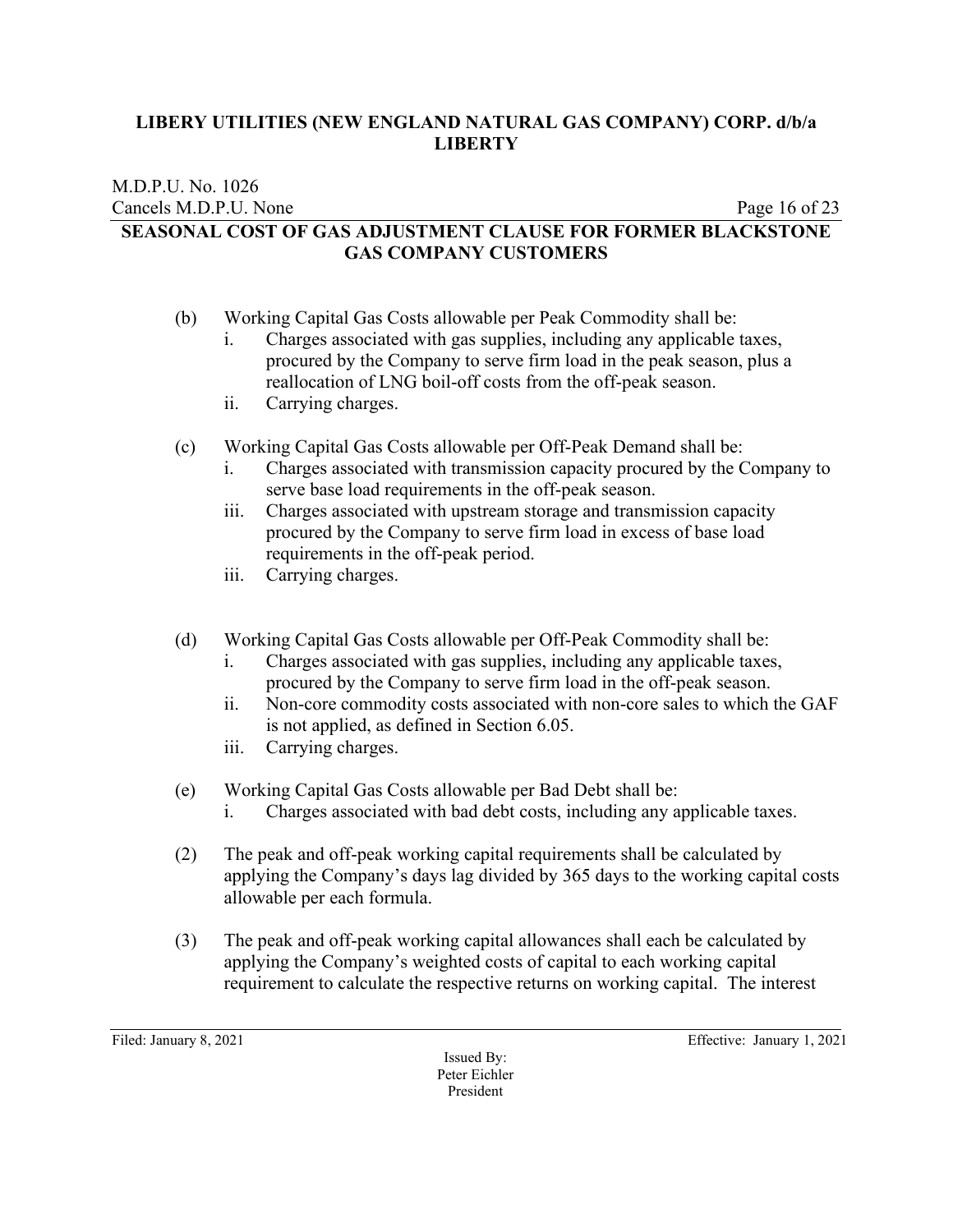#### M.D.P.U. No. 1026 Cancels M.D.P.U. None Page 16 of 23 **SEASONAL COST OF GAS ADJUSTMENT CLAUSE FOR FORMER BLACKSTONE GAS COMPANY CUSTOMERS**

- (b) Working Capital Gas Costs allowable per Peak Commodity shall be:
	- i. Charges associated with gas supplies, including any applicable taxes, procured by the Company to serve firm load in the peak season, plus a reallocation of LNG boil-off costs from the off-peak season.
	- ii. Carrying charges.
- (c) Working Capital Gas Costs allowable per Off-Peak Demand shall be:
	- i. Charges associated with transmission capacity procured by the Company to serve base load requirements in the off-peak season.
	- iii. Charges associated with upstream storage and transmission capacity procured by the Company to serve firm load in excess of base load requirements in the off-peak period.
	- iii. Carrying charges.
- (d) Working Capital Gas Costs allowable per Off-Peak Commodity shall be:
	- i. Charges associated with gas supplies, including any applicable taxes, procured by the Company to serve firm load in the off-peak season.
	- ii. Non-core commodity costs associated with non-core sales to which the GAF is not applied, as defined in Section 6.05.
	- iii. Carrying charges.
- (e) Working Capital Gas Costs allowable per Bad Debt shall be:
	- i. Charges associated with bad debt costs, including any applicable taxes.
- (2) The peak and off-peak working capital requirements shall be calculated by applying the Company's days lag divided by 365 days to the working capital costs allowable per each formula.
- (3) The peak and off-peak working capital allowances shall each be calculated by applying the Company's weighted costs of capital to each working capital requirement to calculate the respective returns on working capital. The interest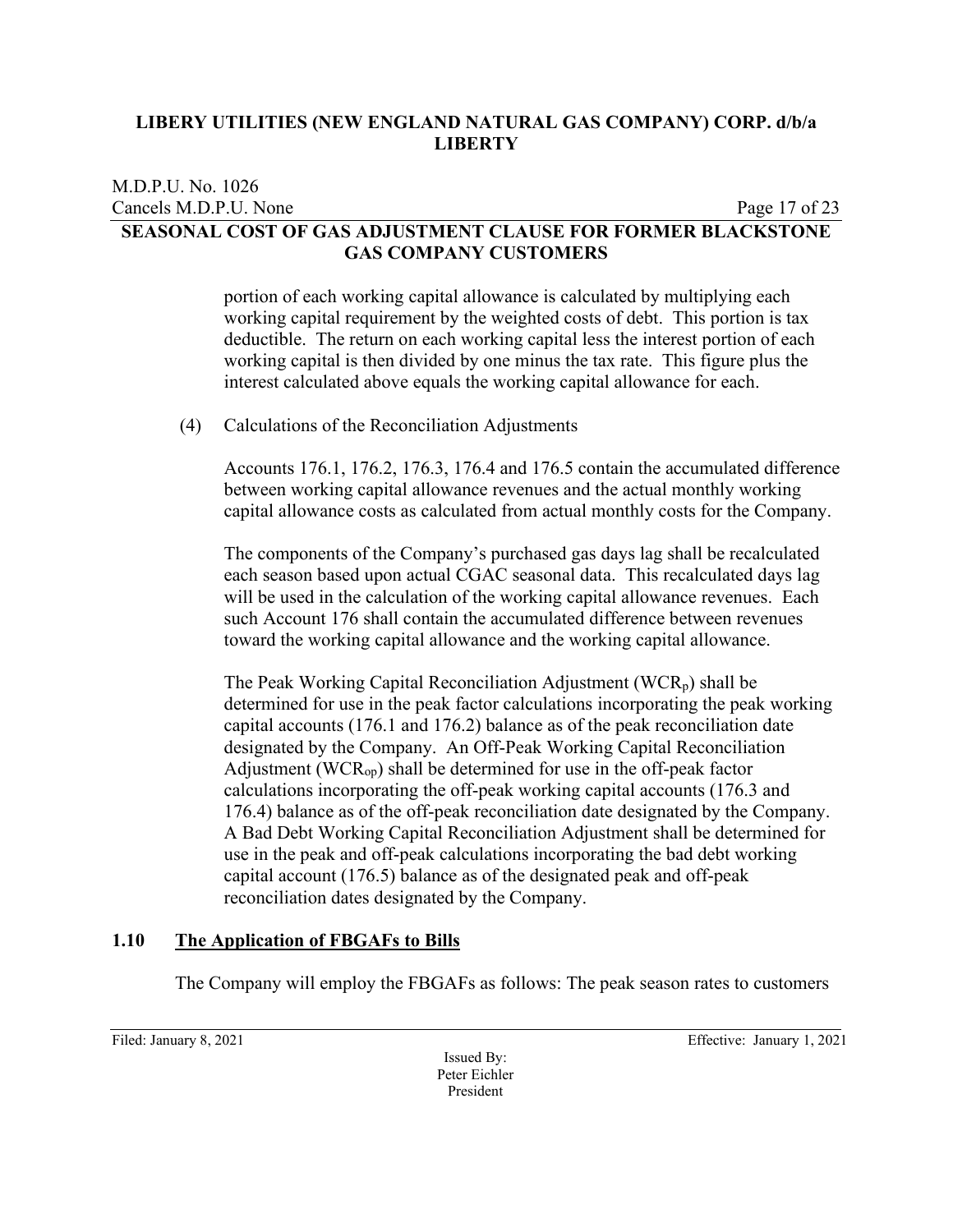### M.D.P.U. No. 1026 Cancels M.D.P.U. None Page 17 of 23 **SEASONAL COST OF GAS ADJUSTMENT CLAUSE FOR FORMER BLACKSTONE GAS COMPANY CUSTOMERS**

portion of each working capital allowance is calculated by multiplying each working capital requirement by the weighted costs of debt. This portion is tax deductible. The return on each working capital less the interest portion of each working capital is then divided by one minus the tax rate. This figure plus the interest calculated above equals the working capital allowance for each.

(4) Calculations of the Reconciliation Adjustments

Accounts 176.1, 176.2, 176.3, 176.4 and 176.5 contain the accumulated difference between working capital allowance revenues and the actual monthly working capital allowance costs as calculated from actual monthly costs for the Company.

The components of the Company's purchased gas days lag shall be recalculated each season based upon actual CGAC seasonal data. This recalculated days lag will be used in the calculation of the working capital allowance revenues. Each such Account 176 shall contain the accumulated difference between revenues toward the working capital allowance and the working capital allowance.

The Peak Working Capital Reconciliation Adjustment (WCR<sub>p</sub>) shall be determined for use in the peak factor calculations incorporating the peak working capital accounts (176.1 and 176.2) balance as of the peak reconciliation date designated by the Company. An Off-Peak Working Capital Reconciliation Adjustment ( $WCR<sub>op</sub>$ ) shall be determined for use in the off-peak factor calculations incorporating the off-peak working capital accounts (176.3 and 176.4) balance as of the off-peak reconciliation date designated by the Company. A Bad Debt Working Capital Reconciliation Adjustment shall be determined for use in the peak and off-peak calculations incorporating the bad debt working capital account (176.5) balance as of the designated peak and off-peak reconciliation dates designated by the Company.

# **1.10 The Application of FBGAFs to Bills**

The Company will employ the FBGAFs as follows: The peak season rates to customers

Issued By: Peter Eichler President

Filed: January 8, 2021 **Effective: January 1, 2021**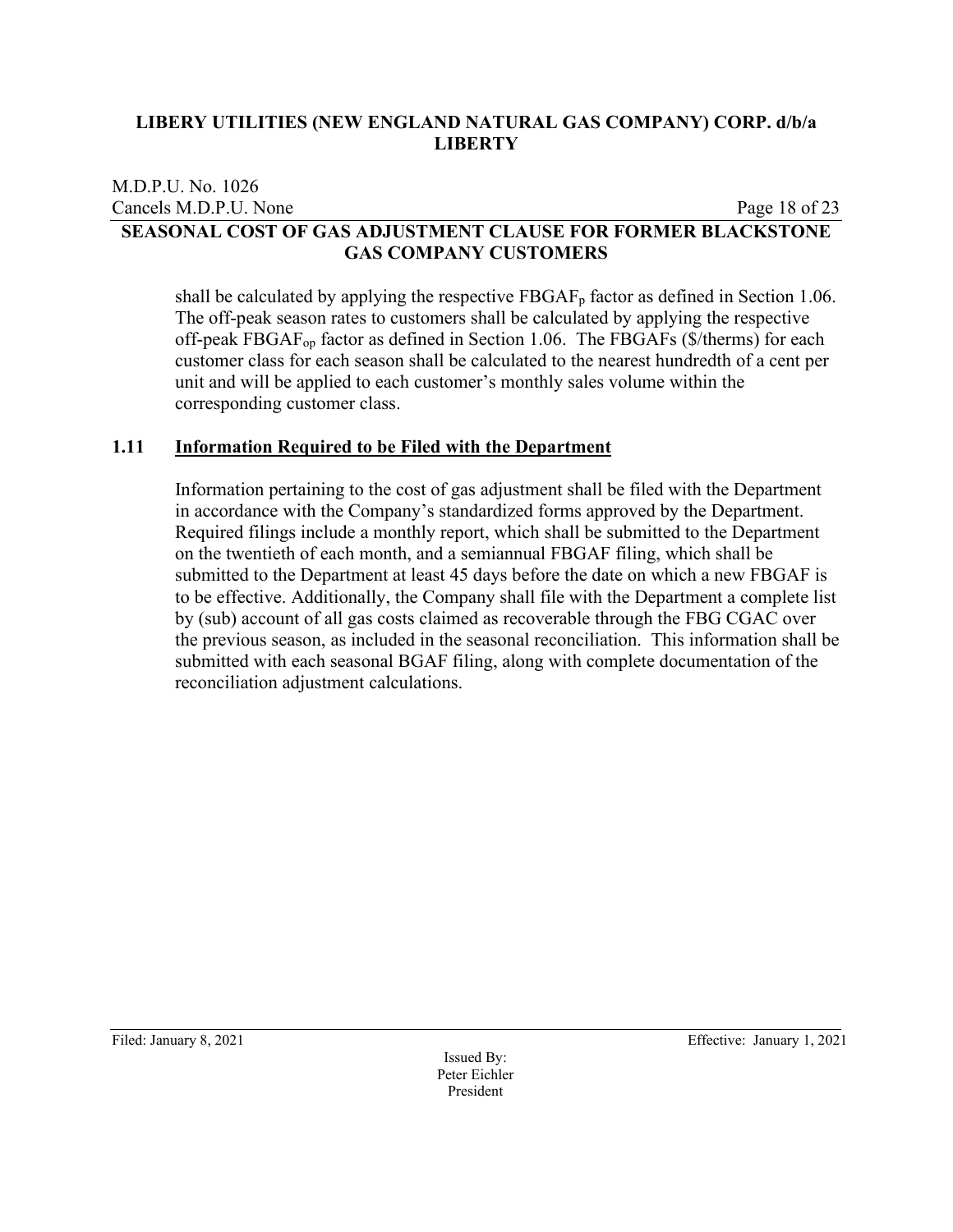#### M.D.P.U. No. 1026 Cancels M.D.P.U. None Page 18 of 23 **SEASONAL COST OF GAS ADJUSTMENT CLAUSE FOR FORMER BLACKSTONE GAS COMPANY CUSTOMERS**

shall be calculated by applying the respective  $FBGAF<sub>p</sub>$  factor as defined in Section 1.06. The off-peak season rates to customers shall be calculated by applying the respective off-peak FBGAFop factor as defined in Section 1.06. The FBGAFs (\$/therms) for each customer class for each season shall be calculated to the nearest hundredth of a cent per unit and will be applied to each customer's monthly sales volume within the corresponding customer class.

#### **1.11 Information Required to be Filed with the Department**

Information pertaining to the cost of gas adjustment shall be filed with the Department in accordance with the Company's standardized forms approved by the Department. Required filings include a monthly report, which shall be submitted to the Department on the twentieth of each month, and a semiannual FBGAF filing, which shall be submitted to the Department at least 45 days before the date on which a new FBGAF is to be effective. Additionally, the Company shall file with the Department a complete list by (sub) account of all gas costs claimed as recoverable through the FBG CGAC over the previous season, as included in the seasonal reconciliation. This information shall be submitted with each seasonal BGAF filing, along with complete documentation of the reconciliation adjustment calculations.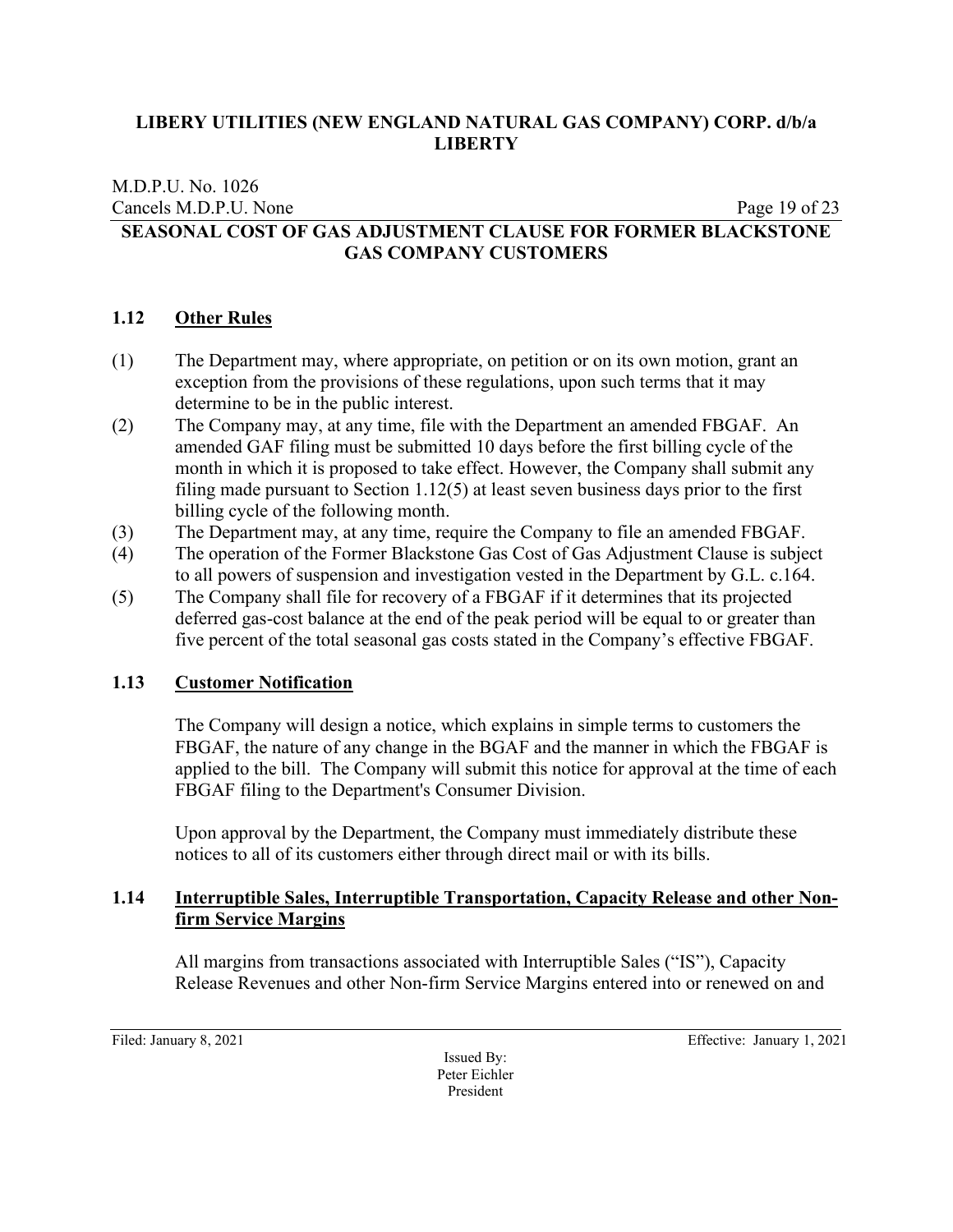#### M.D.P.U. No. 1026 Cancels M.D.P.U. None Page 19 of 23 **SEASONAL COST OF GAS ADJUSTMENT CLAUSE FOR FORMER BLACKSTONE GAS COMPANY CUSTOMERS**

#### **1.12 Other Rules**

- (1) The Department may, where appropriate, on petition or on its own motion, grant an exception from the provisions of these regulations, upon such terms that it may determine to be in the public interest.
- (2) The Company may, at any time, file with the Department an amended FBGAF. An amended GAF filing must be submitted 10 days before the first billing cycle of the month in which it is proposed to take effect. However, the Company shall submit any filing made pursuant to Section 1.12(5) at least seven business days prior to the first billing cycle of the following month.
- (3) The Department may, at any time, require the Company to file an amended FBGAF.
- (4) The operation of the Former Blackstone Gas Cost of Gas Adjustment Clause is subject to all powers of suspension and investigation vested in the Department by G.L. c.164.
- (5) The Company shall file for recovery of a FBGAF if it determines that its projected deferred gas-cost balance at the end of the peak period will be equal to or greater than five percent of the total seasonal gas costs stated in the Company's effective FBGAF.

# **1.13 Customer Notification**

The Company will design a notice, which explains in simple terms to customers the FBGAF, the nature of any change in the BGAF and the manner in which the FBGAF is applied to the bill. The Company will submit this notice for approval at the time of each FBGAF filing to the Department's Consumer Division.

Upon approval by the Department, the Company must immediately distribute these notices to all of its customers either through direct mail or with its bills.

# **1.14 Interruptible Sales, Interruptible Transportation, Capacity Release and other Nonfirm Service Margins**

All margins from transactions associated with Interruptible Sales ("IS"), Capacity Release Revenues and other Non-firm Service Margins entered into or renewed on and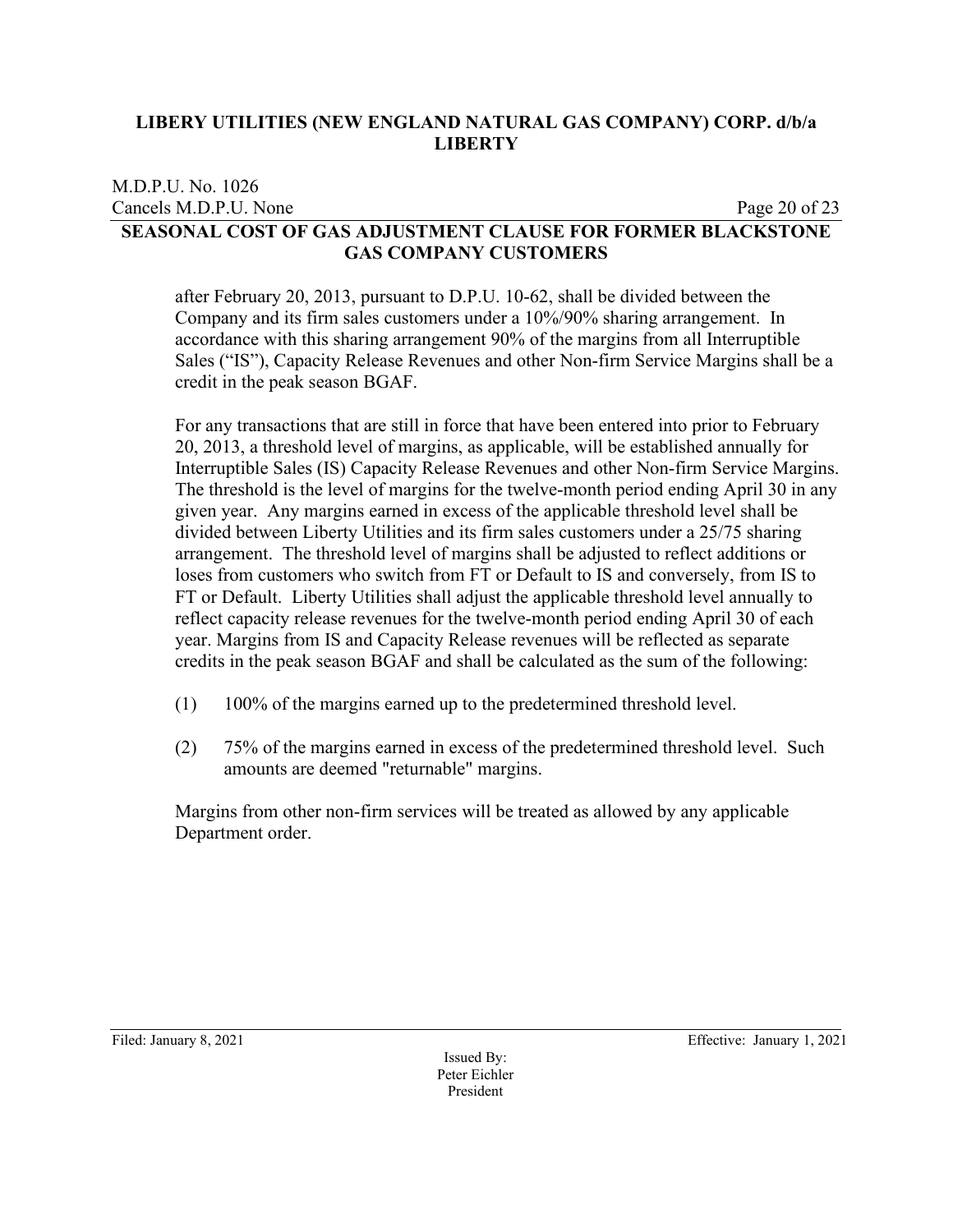#### M.D.P.U. No. 1026 Cancels M.D.P.U. None Page 20 of 23 **SEASONAL COST OF GAS ADJUSTMENT CLAUSE FOR FORMER BLACKSTONE GAS COMPANY CUSTOMERS**

after February 20, 2013, pursuant to D.P.U. 10-62, shall be divided between the Company and its firm sales customers under a 10%/90% sharing arrangement. In accordance with this sharing arrangement 90% of the margins from all Interruptible Sales ("IS"), Capacity Release Revenues and other Non-firm Service Margins shall be a credit in the peak season BGAF.

For any transactions that are still in force that have been entered into prior to February 20, 2013, a threshold level of margins, as applicable, will be established annually for Interruptible Sales (IS) Capacity Release Revenues and other Non-firm Service Margins. The threshold is the level of margins for the twelve-month period ending April 30 in any given year. Any margins earned in excess of the applicable threshold level shall be divided between Liberty Utilities and its firm sales customers under a 25/75 sharing arrangement. The threshold level of margins shall be adjusted to reflect additions or loses from customers who switch from FT or Default to IS and conversely, from IS to FT or Default. Liberty Utilities shall adjust the applicable threshold level annually to reflect capacity release revenues for the twelve-month period ending April 30 of each year. Margins from IS and Capacity Release revenues will be reflected as separate credits in the peak season BGAF and shall be calculated as the sum of the following:

- (1) 100% of the margins earned up to the predetermined threshold level.
- (2) 75% of the margins earned in excess of the predetermined threshold level. Such amounts are deemed "returnable" margins.

Margins from other non-firm services will be treated as allowed by any applicable Department order.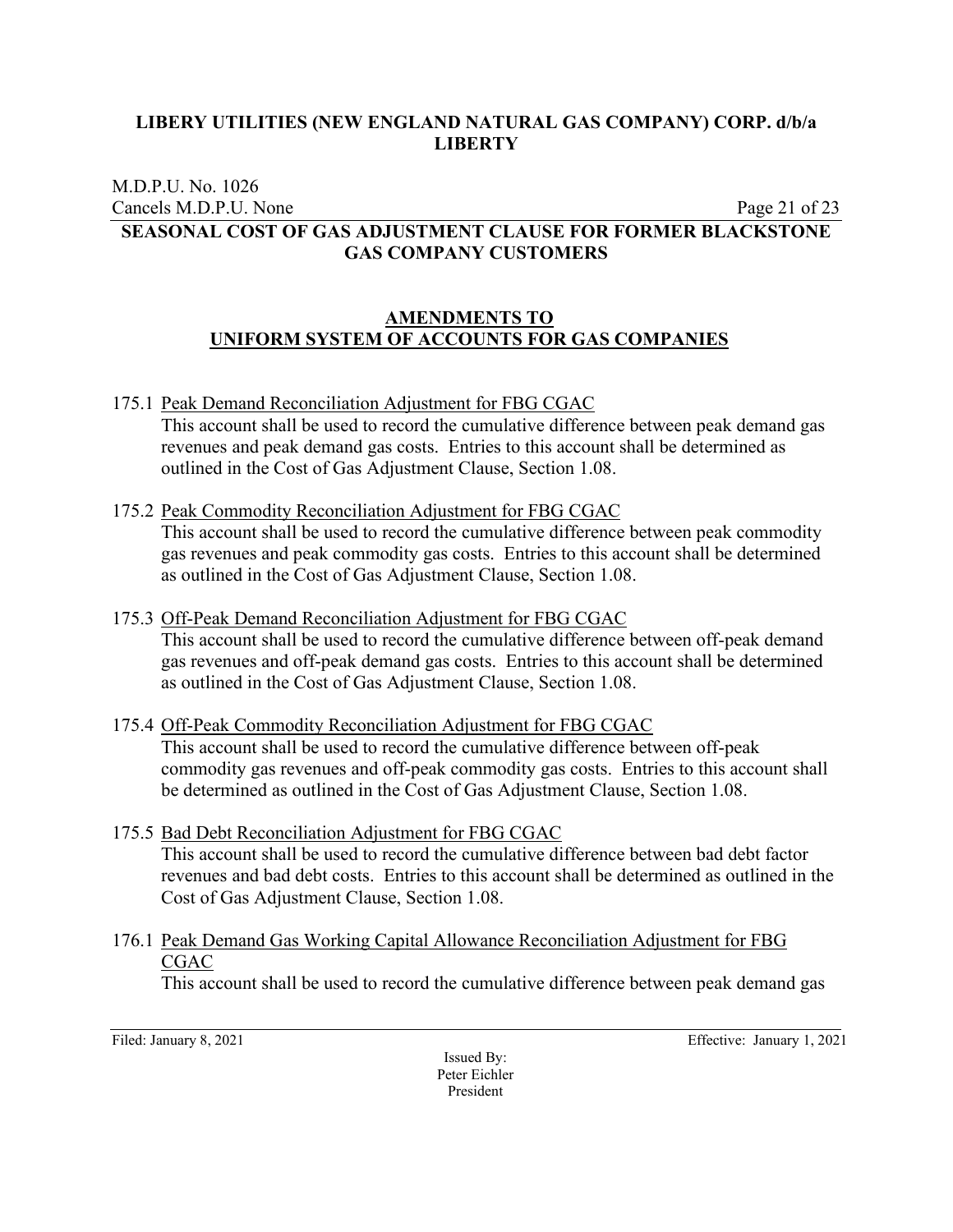M.D.P.U. No. 1026 Cancels M.D.P.U. None Page 21 of 23

# **SEASONAL COST OF GAS ADJUSTMENT CLAUSE FOR FORMER BLACKSTONE GAS COMPANY CUSTOMERS**

# **AMENDMENTS TO UNIFORM SYSTEM OF ACCOUNTS FOR GAS COMPANIES**

175.1 Peak Demand Reconciliation Adjustment for FBG CGAC

This account shall be used to record the cumulative difference between peak demand gas revenues and peak demand gas costs. Entries to this account shall be determined as outlined in the Cost of Gas Adjustment Clause, Section 1.08.

- 175.2 Peak Commodity Reconciliation Adjustment for FBG CGAC This account shall be used to record the cumulative difference between peak commodity gas revenues and peak commodity gas costs. Entries to this account shall be determined as outlined in the Cost of Gas Adjustment Clause, Section 1.08.
- 175.3 Off-Peak Demand Reconciliation Adjustment for FBG CGAC This account shall be used to record the cumulative difference between off-peak demand gas revenues and off-peak demand gas costs. Entries to this account shall be determined as outlined in the Cost of Gas Adjustment Clause, Section 1.08.
- 175.4 Off-Peak Commodity Reconciliation Adjustment for FBG CGAC

This account shall be used to record the cumulative difference between off-peak commodity gas revenues and off-peak commodity gas costs. Entries to this account shall be determined as outlined in the Cost of Gas Adjustment Clause, Section 1.08.

- 175.5 Bad Debt Reconciliation Adjustment for FBG CGAC This account shall be used to record the cumulative difference between bad debt factor revenues and bad debt costs. Entries to this account shall be determined as outlined in the Cost of Gas Adjustment Clause, Section 1.08.
- 176.1 Peak Demand Gas Working Capital Allowance Reconciliation Adjustment for FBG CGAC

This account shall be used to record the cumulative difference between peak demand gas

Issued By: Peter Eichler President

Filed: January 8, 2021 **Effective: January 1, 2021**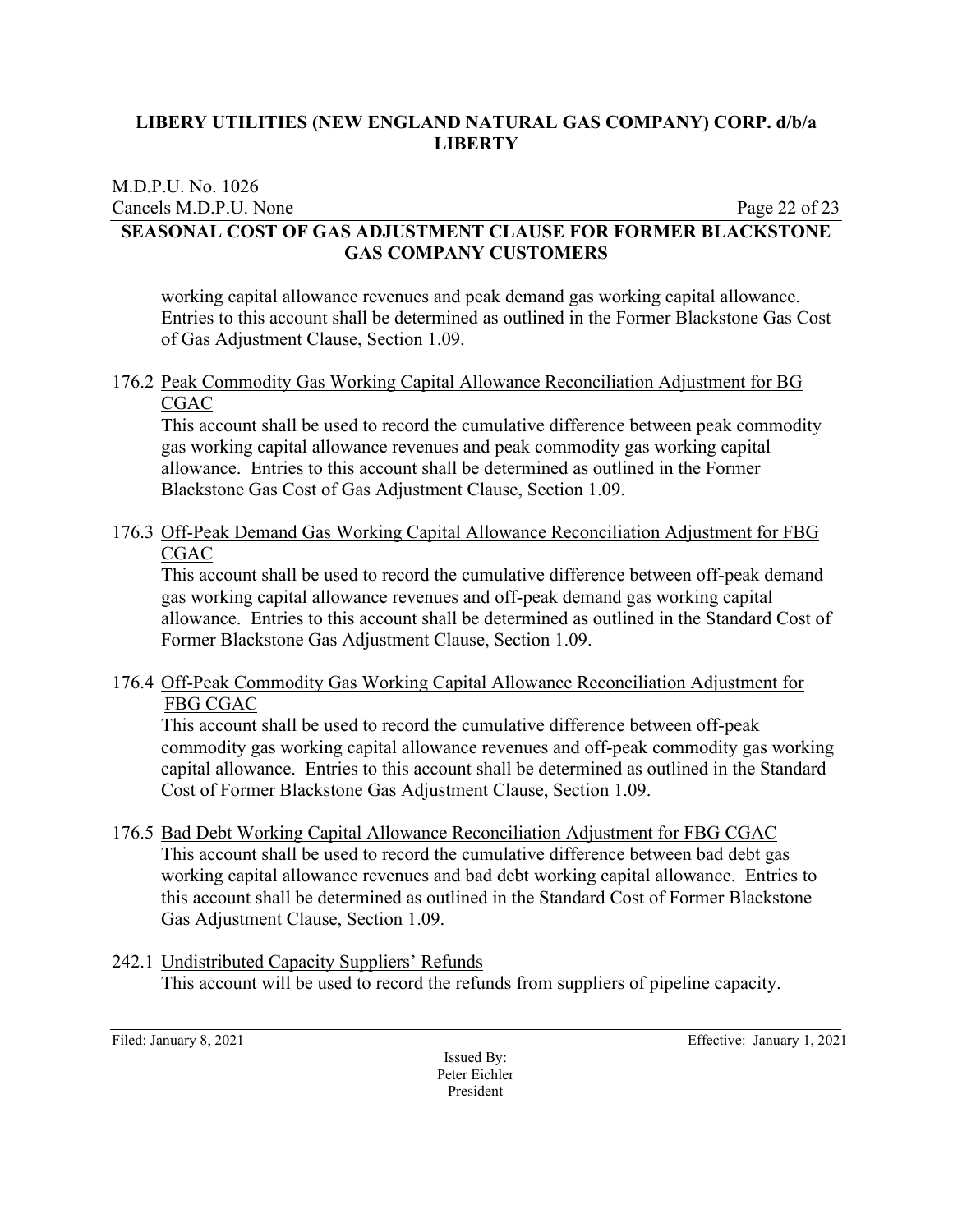M.D.P.U. No. 1026 Cancels M.D.P.U. None Page 22 of 23

# **SEASONAL COST OF GAS ADJUSTMENT CLAUSE FOR FORMER BLACKSTONE GAS COMPANY CUSTOMERS**

working capital allowance revenues and peak demand gas working capital allowance. Entries to this account shall be determined as outlined in the Former Blackstone Gas Cost of Gas Adjustment Clause, Section 1.09.

# 176.2 Peak Commodity Gas Working Capital Allowance Reconciliation Adjustment for BG CGAC

This account shall be used to record the cumulative difference between peak commodity gas working capital allowance revenues and peak commodity gas working capital allowance. Entries to this account shall be determined as outlined in the Former Blackstone Gas Cost of Gas Adjustment Clause, Section 1.09.

176.3 Off-Peak Demand Gas Working Capital Allowance Reconciliation Adjustment for FBG CGAC

This account shall be used to record the cumulative difference between off-peak demand gas working capital allowance revenues and off-peak demand gas working capital allowance. Entries to this account shall be determined as outlined in the Standard Cost of Former Blackstone Gas Adjustment Clause, Section 1.09.

176.4 Off-Peak Commodity Gas Working Capital Allowance Reconciliation Adjustment for FBG CGAC

This account shall be used to record the cumulative difference between off-peak commodity gas working capital allowance revenues and off-peak commodity gas working capital allowance. Entries to this account shall be determined as outlined in the Standard Cost of Former Blackstone Gas Adjustment Clause, Section 1.09.

- 176.5 Bad Debt Working Capital Allowance Reconciliation Adjustment for FBG CGAC This account shall be used to record the cumulative difference between bad debt gas working capital allowance revenues and bad debt working capital allowance. Entries to this account shall be determined as outlined in the Standard Cost of Former Blackstone Gas Adjustment Clause, Section 1.09.
- 242.1 Undistributed Capacity Suppliers' Refunds This account will be used to record the refunds from suppliers of pipeline capacity.